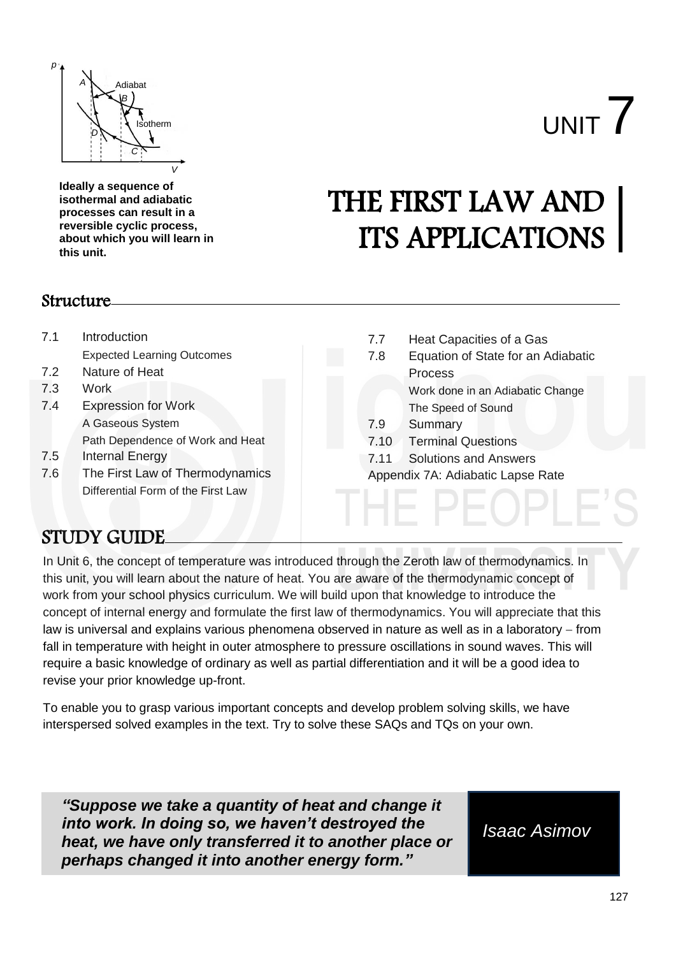

**Ideally a sequence of isothermal and adiabatic processes can result in a reversible cyclic process, about which you will learn in this unit.** 

# **Structure**

| 7.1 | Introduction                       | 7.7  | Heat Capacities of a Gas           |  |
|-----|------------------------------------|------|------------------------------------|--|
|     | <b>Expected Learning Outcomes</b>  | 7.8  | Equation of State for an Adiabatic |  |
| 7.2 | Nature of Heat                     |      | <b>Process</b>                     |  |
| 7.3 | Work                               |      | Work done in an Adiabatic Change   |  |
| 7.4 | <b>Expression for Work</b>         |      | The Speed of Sound                 |  |
|     | A Gaseous System                   | 7.9  | Summary                            |  |
|     | Path Dependence of Work and Heat   | 7.10 | <b>Terminal Questions</b>          |  |
| 7.5 | Internal Energy                    | 7.11 | <b>Solutions and Answers</b>       |  |
| 7.6 | The First Law of Thermodynamics    |      | Appendix 7A: Adiabatic Lapse Rate  |  |
|     | Differential Form of the First Law |      |                                    |  |

THE FIRST LAW AND

I HE PEOPL

ITS APPLICATIONS

# STUDY GUIDE

work from your school physics curriculum. We will build upon that knowledge to introduce the In Unit 6, the concept of temperature was introduced through the Zeroth law of thermodynamics. In this unit, you will learn about the nature of heat. You are aware of the thermodynamic concept of concept of internal energy and formulate the first law of thermodynamics. You will appreciate that this law is universal and explains various phenomena observed in nature as well as in a laboratory – from fall in temperature with height in outer atmosphere to pressure oscillations in sound waves. This will require a basic knowledge of ordinary as well as partial differentiation and it will be a good idea to revise your prior knowledge up-front.

To enable you to grasp various important concepts and develop problem solving skills, we have interspersed solved examples in the text. Try to solve these SAQs and TQs on your own.

*"Suppose we take a quantity of heat and change it into work. In doing so, we haven't destroyed the heat, we have only transferred it to another place or perhaps changed it into another energy form."*

*Isaac Asimov*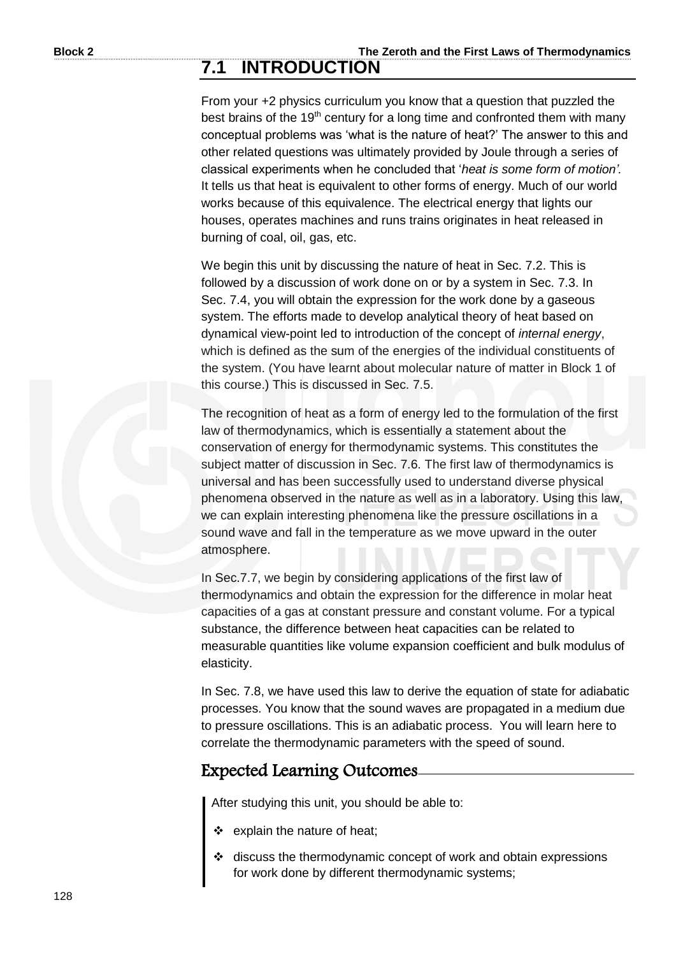# **7.1 INTRODUCTION**

From your +2 physics curriculum you know that a question that puzzled the best brains of the 19<sup>th</sup> century for a long time and confronted them with many conceptual problems was 'what is the nature of heat?' The answer to this and other related questions was ultimately provided by Joule through a series of classical experiments when he concluded that '*heat is some form of motion'.* It tells us that heat is equivalent to other forms of energy. Much of our world works because of this equivalence. The electrical energy that lights our houses, operates machines and runs trains originates in heat released in burning of coal, oil, gas, etc.

We begin this unit by discussing the nature of heat in Sec. 7.2. This is followed by a discussion of work done on or by a system in Sec. 7.3. In Sec. 7.4, you will obtain the expression for the work done by a gaseous system. The efforts made to develop analytical theory of heat based on dynamical view-point led to introduction of the concept of *internal energy*, which is defined as the sum of the energies of the individual constituents of the system. (You have learnt about molecular nature of matter in Block 1 of this course.) This is discussed in Sec. 7.5.

The recognition of heat as a form of energy led to the formulation of the first law of thermodynamics, which is essentially a statement about the conservation of energy for thermodynamic systems. This constitutes the subject matter of discussion in Sec. 7.6. The first law of thermodynamics is universal and has been successfully used to understand diverse physical phenomena observed in the nature as well as in a laboratory. Using this law, we can explain interesting phenomena like the pressure oscillations in a sound wave and fall in the temperature as we move upward in the outer atmosphere.

In Sec.7.7, we begin by considering applications of the first law of thermodynamics and obtain the expression for the difference in molar heat capacities of a gas at constant pressure and constant volume. For a typical substance, the difference between heat capacities can be related to measurable quantities like volume expansion coefficient and bulk modulus of elasticity.

In Sec. 7.8, we have used this law to derive the equation of state for adiabatic processes. You know that the sound waves are propagated in a medium due to pressure oscillations. This is an adiabatic process. You will learn here to correlate the thermodynamic parameters with the speed of sound.

# Expected Learning Outcomes

After studying this unit, you should be able to:

- \* explain the nature of heat;
- discuss the thermodynamic concept of work and obtain expressions for work done by different thermodynamic systems;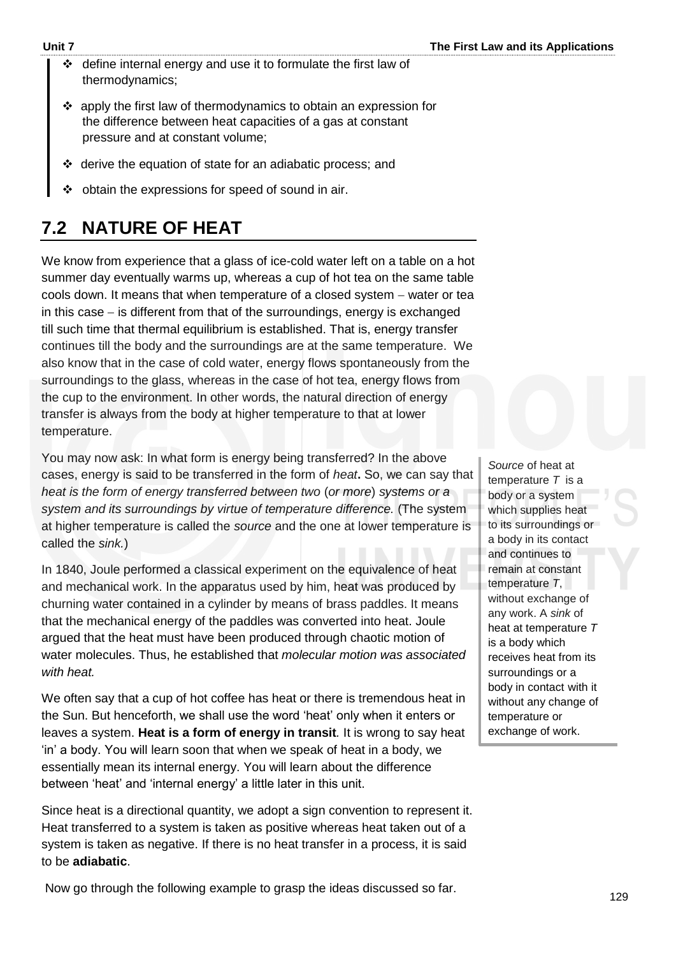- $\div$  define internal energy and use it to formulate the first law of thermodynamics;
- apply the first law of thermodynamics to obtain an expression for the difference between heat capacities of a gas at constant pressure and at constant volume;
- derive the equation of state for an adiabatic process; and
- $\div$  obtain the expressions for speed of sound in air.

# **7.2 NATURE OF HEAT**

We know from experience that a glass of ice-cold water left on a table on a hot summer day eventually warms up, whereas a cup of hot tea on the same table cools down. It means that when temperature of a closed system – water or tea in this case  $-$  is different from that of the surroundings, energy is exchanged till such time that thermal equilibrium is established. That is, energy transfer continues till the body and the surroundings are at the same temperature. We also know that in the case of cold water, energy flows spontaneously from the surroundings to the glass, whereas in the case of hot tea, energy flows from the cup to the environment. In other words, the natural direction of energy transfer is always from the body at higher temperature to that at lower temperature.

You may now ask: In what form is energy being transferred? In the above cases, energy is said to be transferred in the form of *heat***.** So, we can say that *heat is the form of energy transferred between two* (*or more*) *systems or a system and its surroundings by virtue of temperature difference.* (The system at higher temperature is called the *source* and the one at lower temperature is called the *sink.*)

In 1840, Joule performed a classical experiment on the equivalence of heat and mechanical work. In the apparatus used by him, heat was produced by churning water contained in a cylinder by means of brass paddles. It means that the mechanical energy of the paddles was converted into heat. Joule argued that the heat must have been produced through chaotic motion of water molecules. Thus, he established that *molecular motion was associated with heat.*

We often say that a cup of hot coffee has heat or there is tremendous heat in the Sun. But henceforth, we shall use the word 'heat' only when it enters or leaves a system. **Heat is a form of energy in transit***.* It is wrong to say heat 'in' a body. You will learn soon that when we speak of heat in a body, we essentially mean its internal energy. You will learn about the difference between 'heat' and 'internal energy' a little later in this unit.

Since heat is a directional quantity, we adopt a sign convention to represent it. Heat transferred to a system is taken as positive whereas heat taken out of a system is taken as negative. If there is no heat transfer in a process, it is said to be **adiabatic**.

*Source* of heat at temperature *T* is a body or a system which supplies heat to its surroundings or a body in its contact and continues to remain at constant temperature *T*, without exchange of any work. A *sink* of heat at temperature *T* is a body which receives heat from its surroundings or a body in contact with it without any change of temperature or exchange of work.

Now go through the following example to grasp the ideas discussed so far.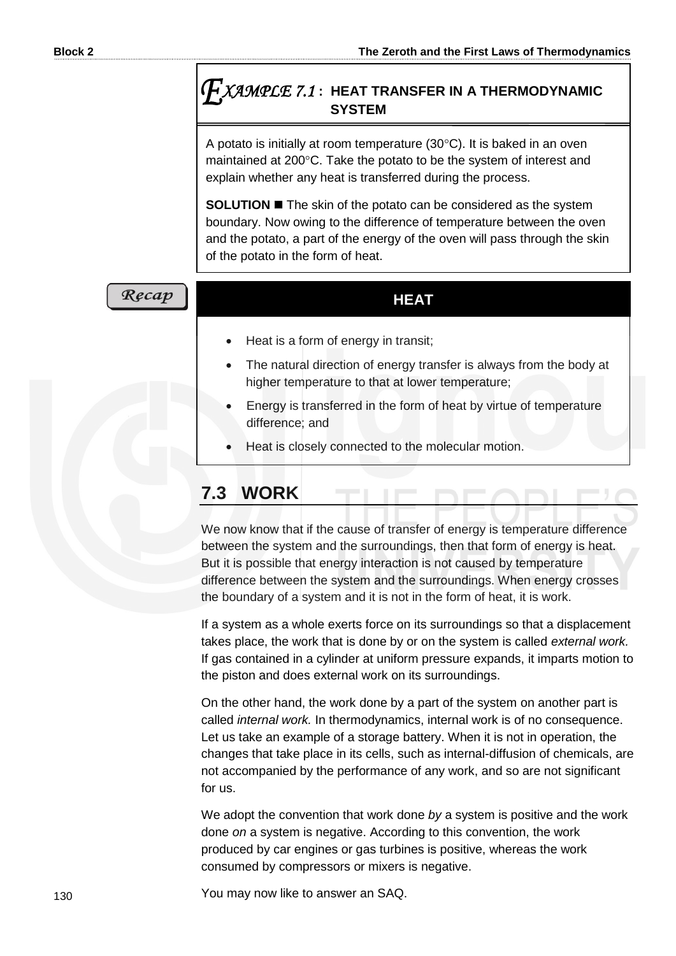# *XAMPLE 7.1* **: HEAT TRANSFER IN A THERMODYNAMIC SYSTEM**

A potato is initially at room temperature  $(30^{\circ}C)$ . It is baked in an oven maintained at 200°C. Take the potato to be the system of interest and explain whether any heat is transferred during the process.

**SOLUTION The skin of the potato can be considered as the system** boundary. Now owing to the difference of temperature between the oven and the potato, a part of the energy of the oven will pass through the skin of the potato in the form of heat.

# Recap

#### **HEAT**

- Heat is a form of energy in transit;
- The natural direction of energy transfer is always from the body at higher temperature to that at lower temperature;
- Energy is transferred in the form of heat by virtue of temperature difference; and
- Heat is closely connected to the molecular motion.

# **7.3 WORK**

We now know that if the cause of transfer of energy is temperature difference between the system and the surroundings, then that form of energy is heat. But it is possible that energy interaction is not caused by temperature difference between the system and the surroundings. When energy crosses the boundary of a system and it is not in the form of heat, it is work.

If a system as a whole exerts force on its surroundings so that a displacement takes place, the work that is done by or on the system is called *external work.* If gas contained in a cylinder at uniform pressure expands, it imparts motion to the piston and does external work on its surroundings.

On the other hand, the work done by a part of the system on another part is called *internal work.* In thermodynamics, internal work is of no consequence. Let us take an example of a storage battery. When it is not in operation, the changes that take place in its cells, such as internal-diffusion of chemicals, are not accompanied by the performance of any work, and so are not significant for us.

We adopt the convention that work done *by* a system is positive and the work done *on* a system is negative. According to this convention, the work produced by car engines or gas turbines is positive, whereas the work consumed by compressors or mixers is negative.

You may now like to answer an SAQ.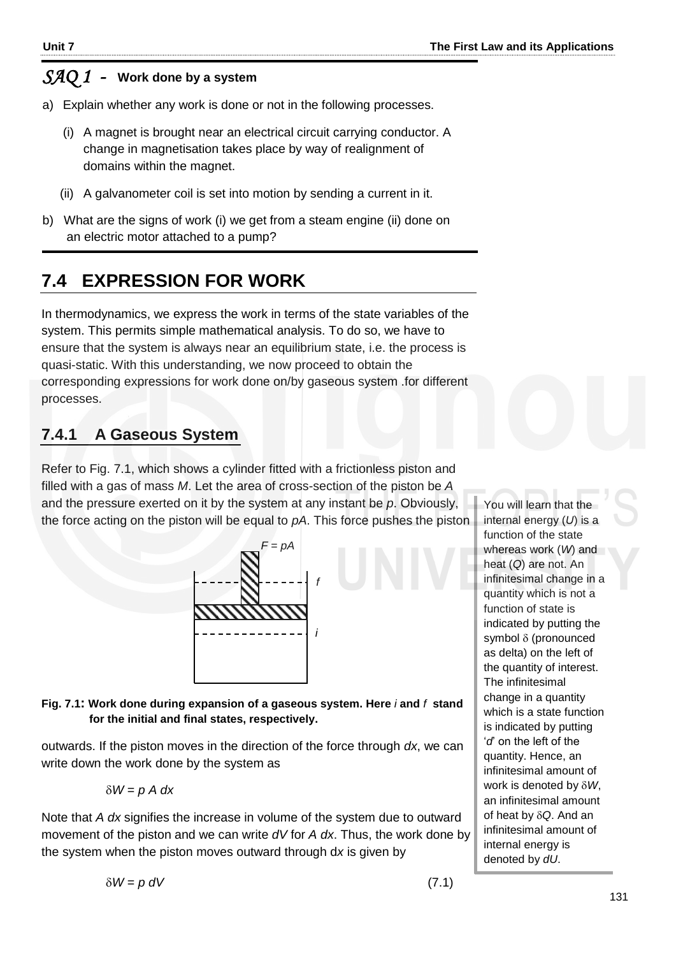# *SAQ 1 -* **Work done by a system**

- a) Explain whether any work is done or not in the following processes.
	- (i) A magnet is brought near an electrical circuit carrying conductor. A change in magnetisation takes place by way of realignment of domains within the magnet.
	- (ii) A galvanometer coil is set into motion by sending a current in it.
- b) What are the signs of work (i) we get from a steam engine (ii) done on an electric motor attached to a pump?

# **7.4 EXPRESSION FOR WORK**

In thermodynamics, we express the work in terms of the state variables of the system. This permits simple mathematical analysis. To do so, we have to ensure that the system is always near an equilibrium state, i.e. the process is quasi-static. With this understanding, we now proceed to obtain the corresponding expressions for work done on/by gaseous system .for different processes.

# **7.4.1 A Gaseous System**

Refer to Fig. 7.1, which shows a cylinder fitted with a frictionless piston and filled with a gas of mass *M*. Let the area of cross-section of the piston be *A*  and the pressure exerted on it by the system at any instant be *p*. Obviously, the force acting on the piston will be equal to *pA*. This force pushes the piston



**Fig. 7.1: Work done during expansion of a gaseous system. Here** *i* **and** *f* **stand for the initial and final states, respectively.** 

outwards. If the piston moves in the direction of the force through *dx*, we can write down the work done by the system as

$$
\delta W = p A dx
$$

Note that *A dx* signifies the increase in volume of the system due to outward movement of the piston and we can write *dV* for *A dx*. Thus, the work done by the system when the piston moves outward through d*x* is given by

You will learn that the internal energy (*U*) is a function of the state whereas work (*W*) and heat (*Q*) are not. An infinitesimal change in a quantity which is not a function of state is indicated by putting the symbol  $\delta$  (pronounced as delta) on the left of the quantity of interest. The infinitesimal change in a quantity which is a state function is indicated by putting '*d*' on the left of the quantity. Hence, an infinitesimal amount of work is denoted by *W*, an infinitesimal amount of heat by *Q*. And an infinitesimal amount of internal energy is denoted by *dU*.

 $\delta W = p \, dV$  (7.1)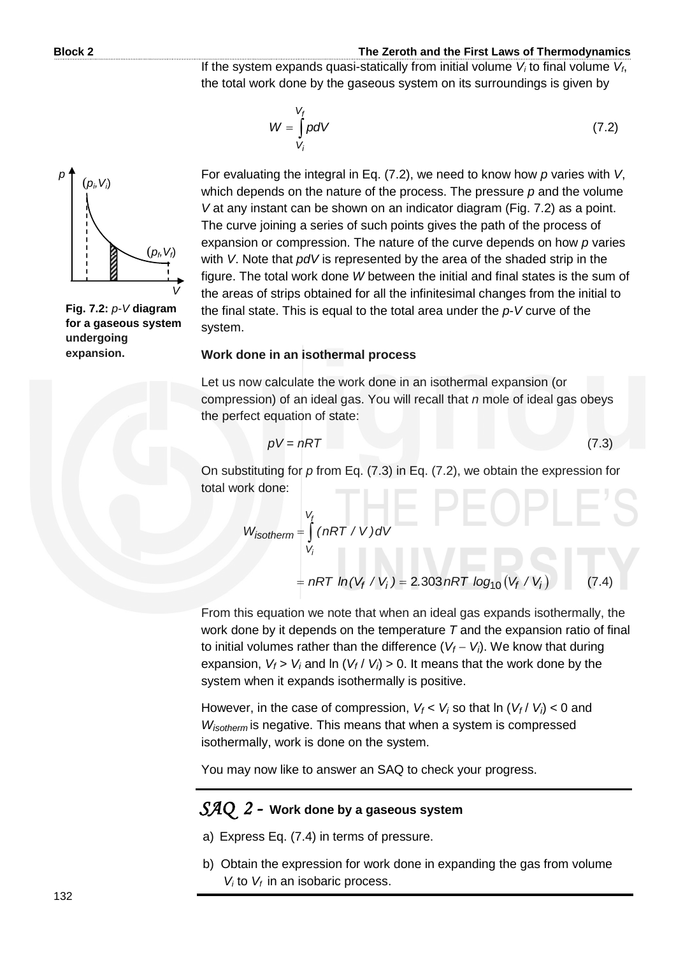If the system expands quasi-statically from initial volume  $V_i$  to final volume  $V_f$ , the total work done by the gaseous system on its surroundings is given by

$$
W = \int_{V_i}^{V_f} p dV \tag{7.2}
$$

 $(p_i, V_i)$  $(p_f, V_f)$ *V p*

**Fig. 7.2:** *p-V* **diagram for a gaseous system undergoing expansion.**

For evaluating the integral in Eq. (7.2), we need to know how *p* varies with *V*, which depends on the nature of the process. The pressure *p* and the volume *V* at any instant can be shown on an indicator diagram (Fig. 7.2) as a point. The curve joining a series of such points gives the path of the process of expansion or compression. The nature of the curve depends on how *p* varies with *V*. Note that *pdV* is represented by the area of the shaded strip in the figure. The total work done *W* between the initial and final states is the sum of the areas of strips obtained for all the infinitesimal changes from the initial to the final state. This is equal to the total area under the *p*-*V* curve of the system.

#### **Work done in an isothermal process**

Let us now calculate the work done in an isothermal expansion (or compression) of an ideal gas. You will recall that *n* mole of ideal gas obeys the perfect equation of state:

$$
pV = nRT \tag{7.3}
$$

On substituting for *p* from Eq. (7.3) in Eq. (7.2), we obtain the expression for total work done:

$$
W_{isotherm} = \int_{V_i}^{V_f} (nRT / V) dV
$$
  
=  $nRT ln(V_f / V_i) = 2.303 nRT log_{10}(V_f / V_i)$  (7.4)

From this equation we note that when an ideal gas expands isothermally, the work done by it depends on the temperature *T* and the expansion ratio of final to initial volumes rather than the difference  $(V_f - V_i)$ . We know that during expansion, *V<sup>f</sup>* > *V<sup>i</sup>* and ln (*V<sup>f</sup>* / *Vi*) > 0. It means that the work done by the system when it expands isothermally is positive.

However, in the case of compression,  $V_f < V_i$  so that  $\ln (V_f / V_i) < 0$  and *Wisotherm* is negative. This means that when a system is compressed isothermally, work is done on the system.

You may now like to answer an SAQ to check your progress.

# *SAQ 2 -* **Work done by a gaseous system**

- a) Express Eq. (7.4) in terms of pressure.
- b) Obtain the expression for work done in expanding the gas from volume  $V_i$  to  $V_f$  in an isobaric process.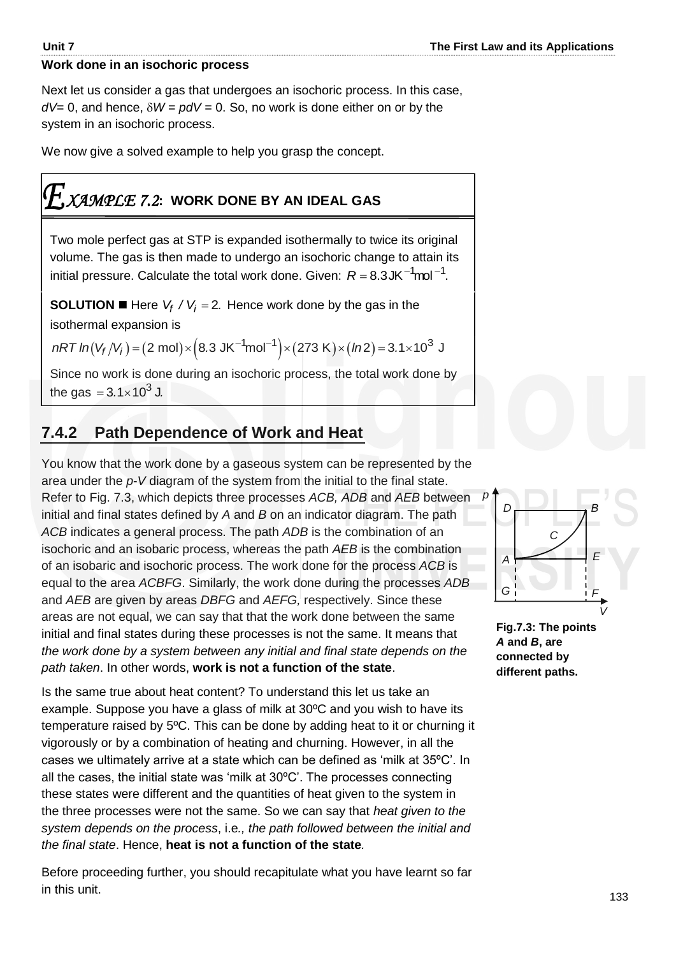#### **Work done in an isochoric process**

Next let us consider a gas that undergoes an isochoric process. In this case,  $dV= 0$ , and hence,  $\delta W = \rho dV = 0$ . So, no work is done either on or by the system in an isochoric process.

We now give a solved example to help you grasp the concept.

# *XAMPLE 7.2***: WORK DONE BY AN IDEAL GAS**

Two mole perfect gas at STP is expanded isothermally to twice its original volume. The gas is then made to undergo an isochoric change to attain its initial pressure. Calculate the total work done. Given:  $R = 8.3$ JK $^{-1}$ mol $^{-1}$ .

**SOLUTION**  $\blacksquare$  Here  $V_f$  /  $V_i$  = 2. Hence work done by the gas in the isothermal expansion is **SOLUTION I** Here  $V_f$  /  $V_i$  = 2. Hence work done by the gas in the sothermal expansion is<br>nRT  $ln(V_f/V_i) = (2 \text{ mol}) \times (8.3 \text{ JK}^{-1} \text{mol}^{-1}) \times (273 \text{ K}) \times (ln2) = 3.1 \times 10^3 \text{ J}$ 

Since no work is done during an isochoric process, the total work done by the gas  $= 3.1 \times 10^3$  J.

# **7.4.2 Path Dependence of Work and Heat**

You know that the work done by a gaseous system can be represented by the area under the *p*-*V* diagram of the system from the initial to the final state. Refer to Fig. 7.3, which depicts three processes *ACB, ADB* and *AEB* between initial and final states defined by *A* and *B* on an indicator diagram. The path *ACB* indicates a general process. The path *ADB* is the combination of an isochoric and an isobaric process, whereas the path *AEB* is the combination of an isobaric and isochoric process. The work done for the process *ACB* is equal to the area *ACBFG*. Similarly, the work done during the processes *ADB* and *AEB* are given by areas *DBFG* and *AEFG,* respectively. Since these areas are not equal, we can say that that the work done between the same initial and final states during these processes is not the same. It means that *the work done by a system between any initial and final state depends on the path taken*. In other words, **work is not a function of the state**.

Is the same true about heat content? To understand this let us take an example. Suppose you have a glass of milk at 30ºC and you wish to have its temperature raised by 5ºC. This can be done by adding heat to it or churning it vigorously or by a combination of heating and churning. However, in all the cases we ultimately arrive at a state which can be defined as 'milk at 35ºC'. In all the cases, the initial state was 'milk at 30ºC'. The processes connecting these states were different and the quantities of heat given to the system in the three processes were not the same. So we can say that *heat given to the system depends on the process*, i.e*., the path followed between the initial and the final state*. Hence, **heat is not a function of the state***.* 

Before proceeding further, you should recapitulate what you have learnt so far in this unit.



**Fig.7.3: The points**  *A* **and** *B***, are connected by different paths.** 

*p*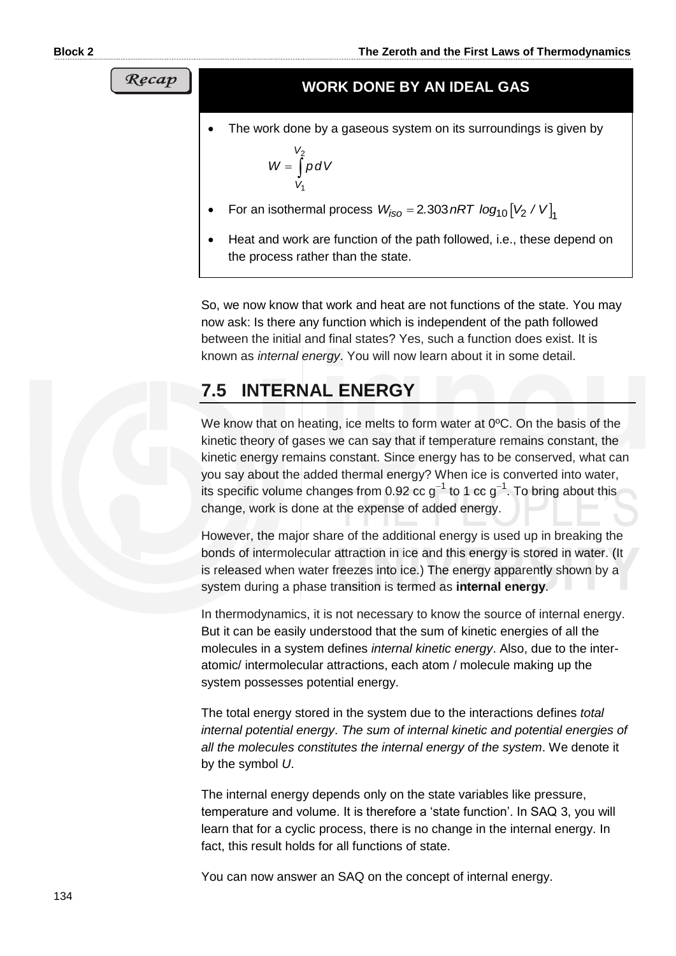#### **WORK DONE BY AN IDEAL GAS**

The work done by a gaseous system on its surroundings is given by

$$
W = \int\limits_{V_1}^{V_2} p \, dV
$$

- For an isothermal process 10 2 <sup>1</sup> *W . nRT log V / V iso* 2 303
- Heat and work are function of the path followed, i.e., these depend on the process rather than the state.

So, we now know that work and heat are not functions of the state. You may now ask: Is there any function which is independent of the path followed between the initial and final states? Yes, such a function does exist. It is known as *internal energy*. You will now learn about it in some detail.

# **7.5 INTERNAL ENERGY**

We know that on heating, ice melts to form water at 0<sup>o</sup>C. On the basis of the kinetic theory of gases we can say that if temperature remains constant, the kinetic energy remains constant. Since energy has to be conserved, what can you say about the added thermal energy? When ice is converted into water, its specific volume changes from 0.92 cc g<sup>-1</sup> to 1 cc g<sup>-1</sup>. To bring about this change, work is done at the expense of added energy.

However, the major share of the additional energy is used up in breaking the bonds of intermolecular attraction in ice and this energy is stored in water. (It is released when water freezes into ice.) The energy apparently shown by a system during a phase transition is termed as **internal energy**.

In thermodynamics, it is not necessary to know the source of internal energy. But it can be easily understood that the sum of kinetic energies of all the molecules in a system defines *internal kinetic energy*. Also, due to the interatomic/ intermolecular attractions, each atom / molecule making up the system possesses potential energy.

The total energy stored in the system due to the interactions defines *total internal potential energy*. *The sum of internal kinetic and potential energies of all the molecules constitutes the internal energy of the system*. We denote it by the symbol *U*.

The internal energy depends only on the state variables like pressure, temperature and volume. It is therefore a 'state function'. In SAQ 3, you will learn that for a cyclic process, there is no change in the internal energy. In fact, this result holds for all functions of state.

You can now answer an SAQ on the concept of internal energy.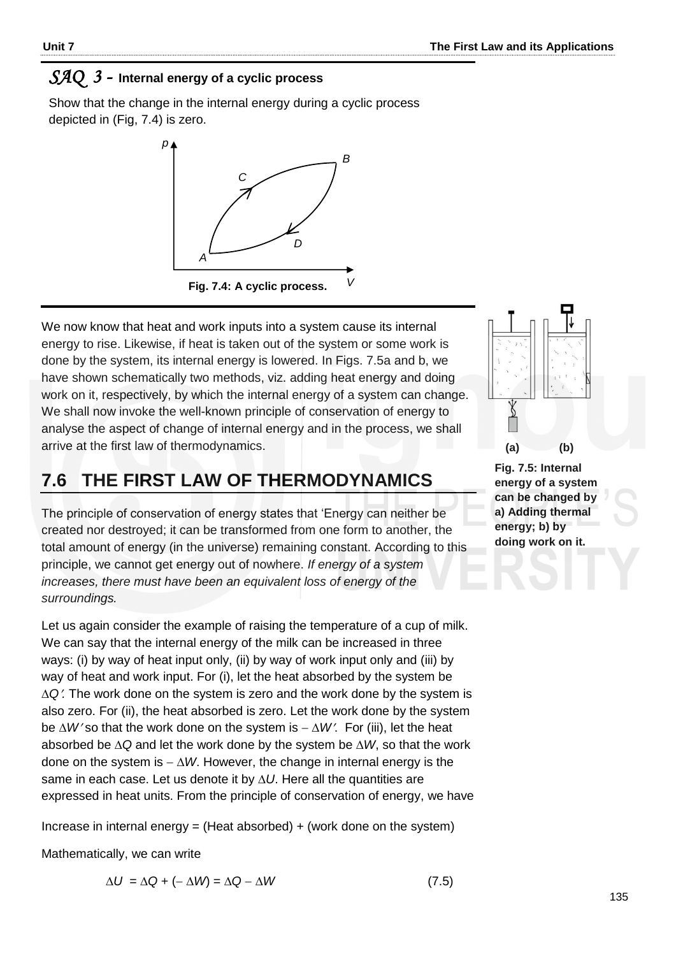# *SAQ 3 -* **Internal energy of a cyclic process**

Show that the change in the internal energy during a cyclic process depicted in (Fig, 7.4) is zero.



We now know that heat and work inputs into a system cause its internal energy to rise. Likewise, if heat is taken out of the system or some work is done by the system, its internal energy is lowered. In Figs. 7.5a and b, we have shown schematically two methods, viz. adding heat energy and doing work on it, respectively, by which the internal energy of a system can change. We shall now invoke the well-known principle of conservation of energy to analyse the aspect of change of internal energy and in the process, we shall arrive at the first law of thermodynamics.

#### **7.6 THE FIRST LAW OF THERMODYNAMICS Fig. 7.4: A cyclic process.**

The principle of conservation of energy states that 'Energy can neither be created nor destroyed; it can be transformed from one form to another, the total amount of energy (in the universe) remaining constant. According to this principle, we cannot get energy out of nowhere. *If energy of a system increases, there must have been an equivalent loss of energy of the surroundings.* 

Let us again consider the example of raising the temperature of a cup of milk. We can say that the internal energy of the milk can be increased in three ways: (i) by way of heat input only, (ii) by way of work input only and (iii) by way of heat and work input. For (i), let the heat absorbed by the system be *Q.* The work done on the system is zero and the work done by the system is also zero. For (ii), the heat absorbed is zero. Let the work done by the system be  $\Delta W$ 'so that the work done on the system is  $-\Delta W$ . For (iii), let the heat absorbed be  $\Delta Q$  and let the work done by the system be  $\Delta W$ , so that the work done on the system is  $-\Delta W$ . However, the change in internal energy is the same in each case. Let us denote it by  $\Delta U$ . Here all the quantities are expressed in heat units. From the principle of conservation of energy, we have

Increase in internal energy = (Heat absorbed)  $+$  (work done on the system)

Mathematically, we can write

$$
\Delta U = \Delta Q + (-\Delta W) = \Delta Q - \Delta W \tag{7.5}
$$



**Fig. 7.5: Internal energy of a system can be changed by a) Adding thermal energy; b) by doing work on it.**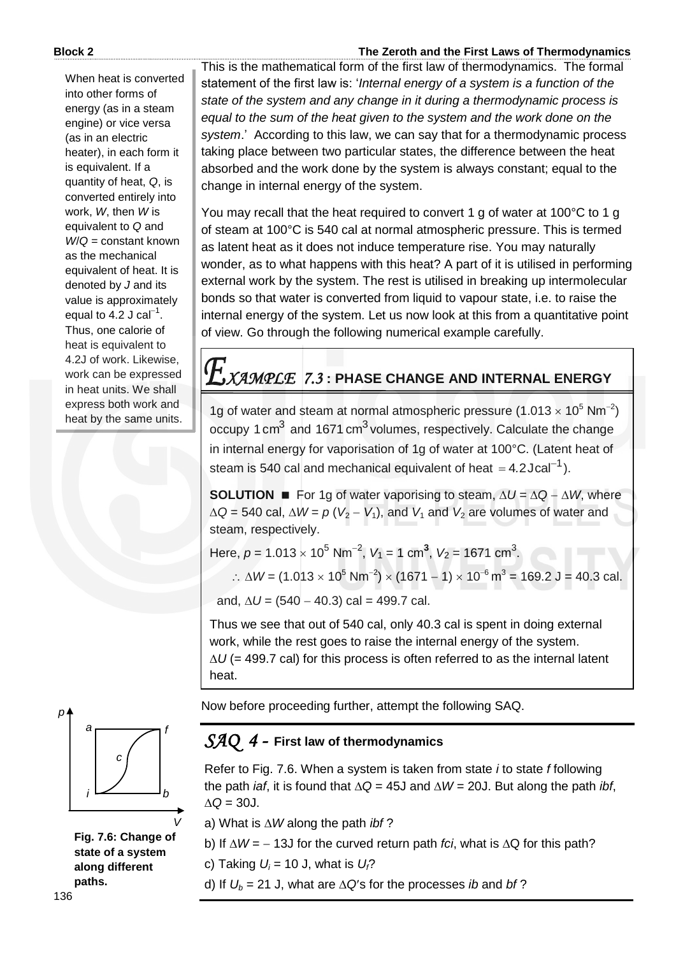#### When heat is converted into other forms of energy (as in a steam engine) or vice versa (as in an electric heater), in each form it is equivalent. If a quantity of heat, *Q*, is converted entirely into work, *W*, then *W* is equivalent to *Q* and *W*/*Q* = constant known as the mechanical equivalent of heat. It is denoted by *J* and its value is approximately equal to 4.2 J cal $^{-1}$ . Thus, one calorie of heat is equivalent to 4.2J of work. Likewise, work can be expressed in heat units. We shall express both work and heat by the same units.

#### **Block 2 The Zeroth and the First Laws of Thermodynamics**

This is the mathematical form of the first law of thermodynamics. The formal statement of the first law is: '*Internal energy of a system is a function of the state of the system and any change in it during a thermodynamic process is equal to the sum of the heat given to the system and the work done on the system*.' According to this law, we can say that for a thermodynamic process taking place between two particular states, the difference between the heat absorbed and the work done by the system is always constant; equal to the change in internal energy of the system.

You may recall that the heat required to convert 1 g of water at 100°C to 1 g of steam at 100°C is 540 cal at normal atmospheric pressure. This is termed as latent heat as it does not induce temperature rise. You may naturally wonder, as to what happens with this heat? A part of it is utilised in performing external work by the system. The rest is utilised in breaking up intermolecular bonds so that water is converted from liquid to vapour state, i.e. to raise the internal energy of the system. Let us now look at this from a quantitative point of view. Go through the following numerical example carefully.

# *XAMPLE 7.3* **: PHASE CHANGE AND INTERNAL ENERGY**

1g of water and steam at normal atmospheric pressure (1.013  $\times$  10<sup>5</sup> Nm<sup>-2</sup>) occupy 1 cm<sup>3</sup> and 1671 cm<sup>3</sup> volumes, respectively. Calculate the change in internal energy for vaporisation of 1g of water at 100°C. (Latent heat of steam is 540 cal and mechanical equivalent of heat  $=$  4.2Jcal<sup>-1</sup>).

**SOLUTION For 1g of water vaporising to steam,**  $\Delta U = \Delta Q - \Delta W$ **, where**  $\Delta Q = 540$  cal,  $\Delta W = p (V_2 - V_1)$ , and  $V_1$  and  $V_2$  are volumes of water and steam, respectively.

Here,  $p = 1.013 \times 10^5$  Nm<sup>-2</sup>,  $V_1 = 1$  cm<sup>3</sup>,  $V_2 = 1671$  cm<sup>3</sup>.

∴ ∆*W* = (1.013 × 10<sup>5</sup> Nm<sup>-2</sup>) × (1671 – 1) × 10<sup>-6</sup> m<sup>3</sup> = 169.2 J = 40.3 cal.

and,  $\Delta U = (540 - 40.3)$  cal = 499.7 cal.

Thus we see that out of 540 cal, only 40.3 cal is spent in doing external work, while the rest goes to raise the internal energy of the system.  $\Delta U$  (= 499.7 cal) for this process is often referred to as the internal latent heat.

Now before proceeding further, attempt the following SAQ.

# *SAQ 4 -* **First law of thermodynamics**

Refer to Fig. 7.6. When a system is taken from state *i* to state *f* following the path *iaf*, it is found that  $\Delta Q = 45J$  and  $\Delta W = 20J$ . But along the path *ibf*,  $\Lambda$ Q = 30J.

a) What is  $\Delta W$  along the path *ibf* ?

b) If  $\Delta W = -13J$  for the curved return path *fci*, what is  $\Delta Q$  for this path?

c) Taking  $U_i = 10$  J, what is  $U_f$ ?

d) If  $U_b = 21$  J, what are  $\Delta Q$ 's for the processes *ib* and *bf* ?



**Fig. 7.6: Change of state of a system along different paths.**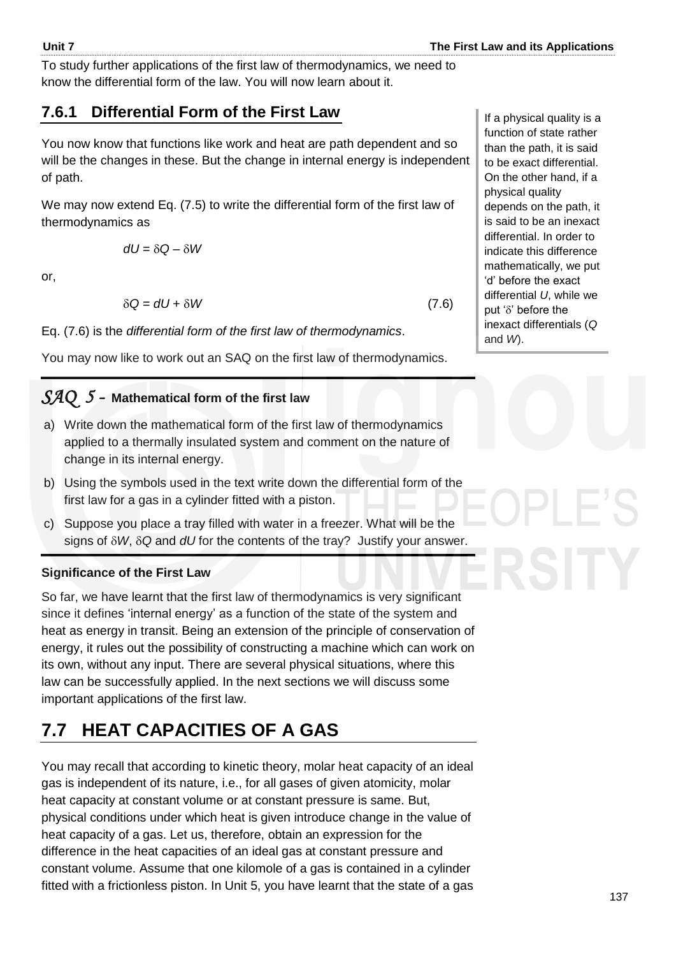137

To study further applications of the first law of thermodynamics, we need to know the differential form of the law. You will now learn about it.

# **7.6.1 Differential Form of the First Law**

You now know that functions like work and heat are path dependent and so will be the changes in these. But the change in internal energy is independent of path.

We may now extend Eq. (7.5) to write the differential form of the first law of thermodynamics as

$$
dU = \delta Q - \delta W
$$

or,

$$
\delta Q = dU + \delta W \tag{7.6}
$$

Eq. (7.6) is the *differential form of the first law of thermodynamics*.

You may now like to work out an SAQ on the first law of thermodynamics.

# *SAQ 5 -* **Mathematical form of the first law**

- a) Write down the mathematical form of the first law of thermodynamics applied to a thermally insulated system and comment on the nature of change in its internal energy.
- b) Using the symbols used in the text write down the differential form of the first law for a gas in a cylinder fitted with a piston.
- c) Suppose you place a tray filled with water in a freezer. What will be the signs of *W*, *Q* and *dU* for the contents of the tray? Justify your answer.

#### **Significance of the First Law**

So far, we have learnt that the first law of thermodynamics is very significant since it defines 'internal energy' as a function of the state of the system and heat as energy in transit. Being an extension of the principle of conservation of energy, it rules out the possibility of constructing a machine which can work on its own, without any input. There are several physical situations, where this law can be successfully applied. In the next sections we will discuss some important applications of the first law.

# **7.7 HEAT CAPACITIES OF A GAS**

You may recall that according to kinetic theory, molar heat capacity of an ideal gas is independent of its nature, i.e., for all gases of given atomicity, molar heat capacity at constant volume or at constant pressure is same. But, physical conditions under which heat is given introduce change in the value of heat capacity of a gas. Let us, therefore, obtain an expression for the difference in the heat capacities of an ideal gas at constant pressure and constant volume. Assume that one kilomole of a gas is contained in a cylinder fitted with a frictionless piston. In Unit 5, you have learnt that the state of a gas

If a physical quality is a function of state rather than the path, it is said to be exact differential. On the other hand, if a physical quality depends on the path, it is said to be an inexact differential. In order to indicate this difference mathematically, we put 'd' before the exact differential *U*, while we put ' $\delta$ ' before the inexact differentials (*Q* and *W*).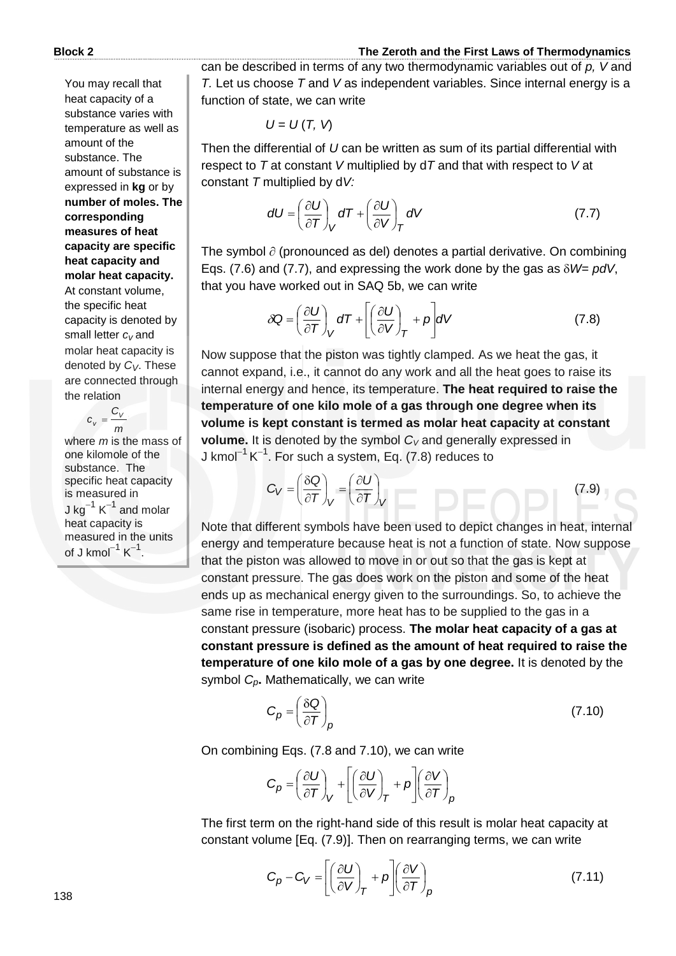You may recall that heat capacity of a substance varies with temperature as well as amount of the substance. The amount of substance is expressed in **kg** or by **number of moles. The corresponding measures of heat capacity are specific heat capacity and molar heat capacity.**  At constant volume, the specific heat capacity is denoted by small letter *cv* and molar heat capacity is denoted by *CV*. These are connected through the relation

> *m*  $c_v = \frac{C_v}{\sqrt{2}}$

where *m* is the mass of one kilomole of the substance. The specific heat capacity is measured in J kg $^{-1}$  K $^{-1}$  and molar heat capacity is measured in the units of J kmol $^{-1}$  K $^{-1}$ .

can be described in terms of any two thermodynamic variables out of *p, V* and *T.* Let us choose *T* and *V* as independent variables. Since internal energy is a function of state, we can write

 $U = U(T, V)$ 

Then the differential of *U* can be written as sum of its partial differential with respect to *T* at constant *V* multiplied by d*T* and that with respect to *V* at constant *T* multiplied by d*V:*

$$
dU = \left(\frac{\partial U}{\partial T}\right)_V dT + \left(\frac{\partial U}{\partial V}\right)_T dV
$$
 (7.7)

The symbol  $\partial$  (pronounced as del) denotes a partial derivative. On combining Eqs. (7.6) and (7.7), and expressing the work done by the gas as  $\delta W = \rho dV$ , that you have worked out in SAQ 5b, we can write

$$
\delta Q = \left(\frac{\partial U}{\partial T}\right)_V dT + \left[\left(\frac{\partial U}{\partial V}\right)_T + p\right] dV \tag{7.8}
$$

Now suppose that the piston was tightly clamped. As we heat the gas, it cannot expand, i.e., it cannot do any work and all the heat goes to raise its internal energy and hence, its temperature. **The heat required to raise the temperature of one kilo mole of a gas through one degree when its volume is kept constant is termed as molar heat capacity at constant volume.** It is denoted by the symbol  $C_V$  and generally expressed in J kmol $^{-1}$  K $^{-1}$ . For such a system, Eq. (7.8) reduces to

$$
C_V = \left(\frac{\delta Q}{\partial T}\right)_V = \left(\frac{\partial U}{\partial T}\right)_V
$$
 (7.9)

Note that different symbols have been used to depict changes in heat, internal energy and temperature because heat is not a function of state. Now suppose that the piston was allowed to move in or out so that the gas is kept at constant pressure. The gas does work on the piston and some of the heat ends up as mechanical energy given to the surroundings. So, to achieve the same rise in temperature, more heat has to be supplied to the gas in a constant pressure (isobaric) process. **The molar heat capacity of a gas at constant pressure is defined as the amount of heat required to raise the temperature of one kilo mole of a gas by one degree.** It is denoted by the symbol *Cp***.** Mathematically, we can write

$$
C_p = \left(\frac{\delta Q}{\partial T}\right)_p \tag{7.10}
$$

On combining Eqs. (7.8 and 7.10), we can write

$$
C_p = \left(\frac{\partial U}{\partial T}\right)_V + \left[\left(\frac{\partial U}{\partial V}\right)_T + p\right] \left(\frac{\partial V}{\partial T}\right)_p
$$

The first term on the right-hand side of this result is molar heat capacity at constant volume [Eq. (7.9)]. Then on rearranging terms, we can write

$$
C_p - C_V = \left[ \left( \frac{\partial U}{\partial V} \right)_T + p \right] \left( \frac{\partial V}{\partial T} \right)_p \tag{7.11}
$$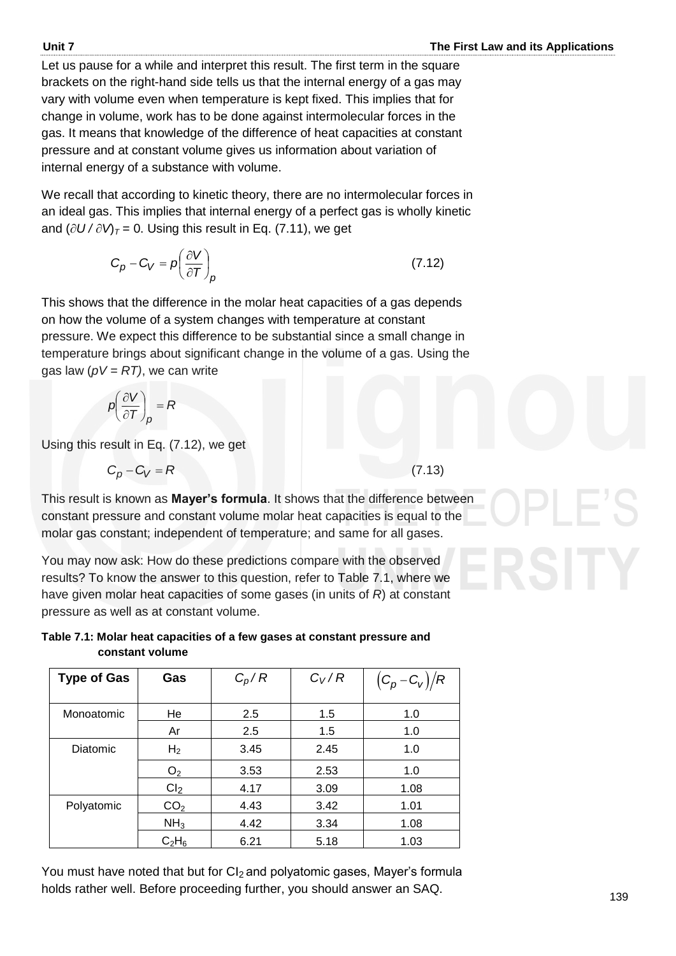Let us pause for a while and interpret this result. The first term in the square brackets on the right-hand side tells us that the internal energy of a gas may vary with volume even when temperature is kept fixed. This implies that for change in volume, work has to be done against intermolecular forces in the gas. It means that knowledge of the difference of heat capacities at constant pressure and at constant volume gives us information about variation of internal energy of a substance with volume.

We recall that according to kinetic theory, there are no intermolecular forces in an ideal gas. This implies that internal energy of a perfect gas is wholly kinetic and  $(\partial U/\partial V)_T$  = 0. Using this result in Eq. (7.11), we get

$$
C_p - C_V = p \left( \frac{\partial V}{\partial T} \right)_p \tag{7.12}
$$

This shows that the difference in the molar heat capacities of a gas depends on how the volume of a system changes with temperature at constant pressure. We expect this difference to be substantial since a small change in temperature brings about significant change in the volume of a gas. Using the gas law  $(pV = RT)$ , we can write

$$
p\left(\frac{\partial V}{\partial T}\right)_p = R
$$

Using this result in Eq. (7.12), we get

 $C_p - C_V = R$ 

(7.13)

This result is known as **Mayer's formula**. It shows that the difference between constant pressure and constant volume molar heat capacities is equal to the molar gas constant; independent of temperature; and same for all gases.

You may now ask: How do these predictions compare with the observed results? To know the answer to this question, refer to Table 7.1, where we have given molar heat capacities of some gases (in units of *R*) at constant pressure as well as at constant volume.

**Table 7.1: Molar heat capacities of a few gases at constant pressure and constant volume** 

| <b>Type of Gas</b> | Gas             | $C_p/R$ | $C_V/R$ | $(C_p - C_V)/R$ |
|--------------------|-----------------|---------|---------|-----------------|
|                    |                 |         |         |                 |
| Monoatomic         | He              | 2.5     | 1.5     | 1.0             |
|                    | Ar              | 2.5     | 1.5     | 1.0             |
| <b>Diatomic</b>    | H <sub>2</sub>  | 3.45    | 2.45    | 1.0             |
|                    | O <sub>2</sub>  | 3.53    | 2.53    | 1.0             |
|                    | Cl <sub>2</sub> | 4.17    | 3.09    | 1.08            |
| Polyatomic         | CO <sub>2</sub> | 4.43    | 3.42    | 1.01            |
|                    | NH <sub>3</sub> | 4.42    | 3.34    | 1.08            |
|                    | $C_2H_6$        | 6.21    | 5.18    | 1.03            |

You must have noted that but for CI<sub>2</sub> and polyatomic gases, Mayer's formula holds rather well. Before proceeding further, you should answer an SAQ.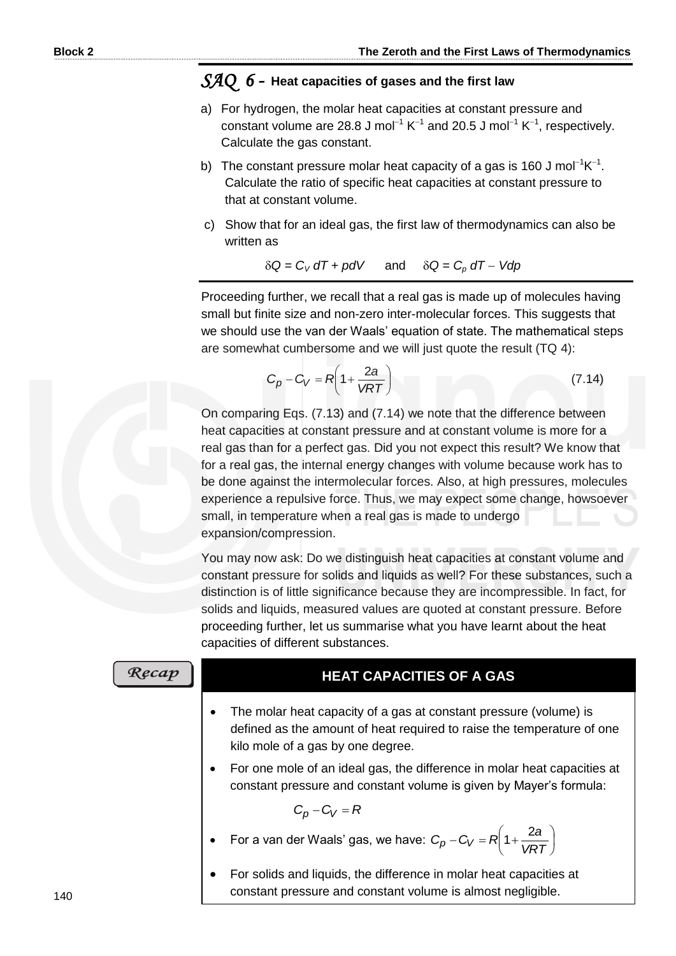### *SAQ 6 -* **Heat capacities of gases and the first law**

- a) For hydrogen, the molar heat capacities at constant pressure and constant volume are 28.8 J mol<sup>-1</sup> K<sup>-1</sup> and 20.5 J mol<sup>-1</sup> K<sup>-1</sup>, respectively. Calculate the gas constant.
- b) The constant pressure molar heat capacity of a gas is 160 J mol<sup>-1</sup>K<sup>-1</sup>. Calculate the ratio of specific heat capacities at constant pressure to that at constant volume.
- c) Show that for an ideal gas, the first law of thermodynamics can also be written as

 $\delta Q = C_V dT + pdV$  and  $\delta Q = C_p dT - Vdp$ 

Proceeding further, we recall that a real gas is made up of molecules having small but finite size and non-zero inter-molecular forces. This suggests that we should use the van der Waals' equation of state. The mathematical steps are somewhat cumbersome and we will just quote the result (TQ 4):

$$
C_p - C_V = R \left( 1 + \frac{2a}{VRT} \right) \tag{7.14}
$$

On comparing Eqs. (7.13) and (7.14) we note that the difference between heat capacities at constant pressure and at constant volume is more for a real gas than for a perfect gas. Did you not expect this result? We know that for a real gas, the internal energy changes with volume because work has to be done against the intermolecular forces. Also, at high pressures, molecules experience a repulsive force. Thus, we may expect some change, howsoever small, in temperature when a real gas is made to undergo expansion/compression.

You may now ask: Do we distinguish heat capacities at constant volume and constant pressure for solids and liquids as well? For these substances, such a distinction is of little significance because they are incompressible. In fact, for solids and liquids, measured values are quoted at constant pressure. Before proceeding further, let us summarise what you have learnt about the heat capacities of different substances.

| <b>HEAT CAPACITIES OF A GAS</b>                                                                                                                                                               |  |
|-----------------------------------------------------------------------------------------------------------------------------------------------------------------------------------------------|--|
| The molar heat capacity of a gas at constant pressure (volume) is<br>$\bullet$<br>defined as the amount of heat required to raise the temperature of one<br>kilo mole of a gas by one degree. |  |
| For one mole of an ideal gas, the difference in molar heat capacities at<br>$\bullet$<br>constant pressure and constant volume is given by Mayer's formula:                                   |  |
| $C_p - C_V = R$                                                                                                                                                                               |  |
| For a van der Waals' gas, we have: $C_p - C_V = R\left(1 + \frac{2a}{VRT}\right)$                                                                                                             |  |
| For solids and liquids, the difference in molar heat capacities at<br>$\bullet$<br>constant pressure and constant volume is almost negligible.                                                |  |

 $Re$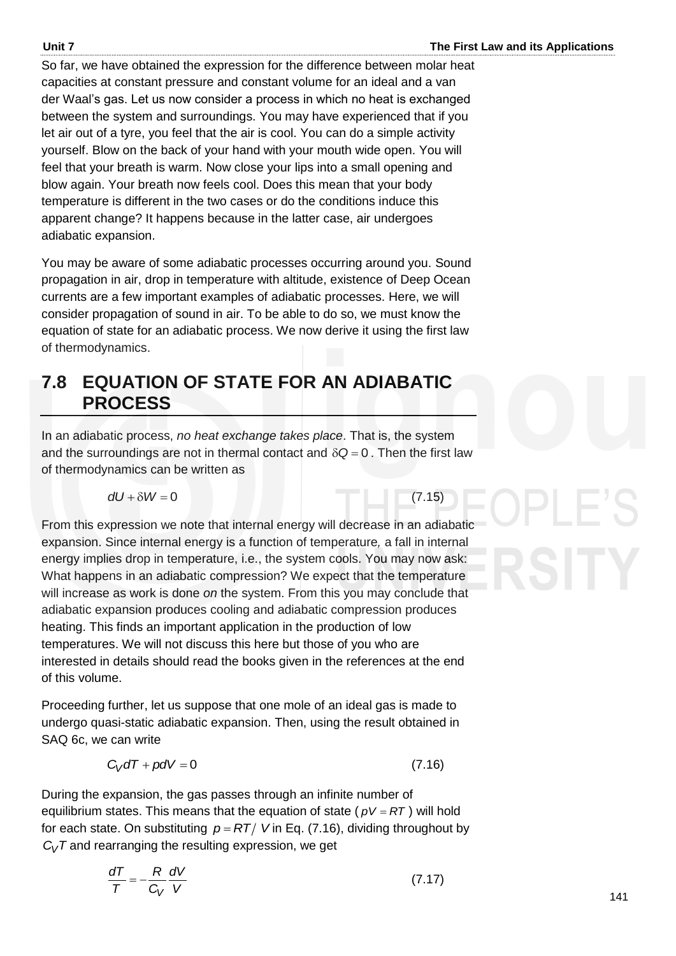So far, we have obtained the expression for the difference between molar heat capacities at constant pressure and constant volume for an ideal and a van der Waal's gas. Let us now consider a process in which no heat is exchanged between the system and surroundings. You may have experienced that if you let air out of a tyre, you feel that the air is cool. You can do a simple activity yourself. Blow on the back of your hand with your mouth wide open. You will feel that your breath is warm. Now close your lips into a small opening and blow again. Your breath now feels cool. Does this mean that your body temperature is different in the two cases or do the conditions induce this apparent change? It happens because in the latter case, air undergoes adiabatic expansion.

You may be aware of some adiabatic processes occurring around you. Sound propagation in air, drop in temperature with altitude, existence of Deep Ocean currents are a few important examples of adiabatic processes. Here, we will consider propagation of sound in air. To be able to do so, we must know the equation of state for an adiabatic process. We now derive it using the first law of thermodynamics.

# **7.8 EQUATION OF STATE FOR AN ADIABATIC PROCESS**

In an adiabatic process, *no heat exchange takes place*. That is, the system and the surroundings are not in thermal contact and  $\delta Q = 0$ . Then the first law of thermodynamics can be written as

$$
dU + \delta W = 0
$$

(7.15)

From this expression we note that internal energy will decrease in an adiabatic expansion. Since internal energy is a function of temperature*,* a fall in internal energy implies drop in temperature, i.e., the system cools. You may now ask: What happens in an adiabatic compression? We expect that the temperature will increase as work is done *on* the system. From this you may conclude that adiabatic expansion produces cooling and adiabatic compression produces heating. This finds an important application in the production of low temperatures. We will not discuss this here but those of you who are interested in details should read the books given in the references at the end of this volume.

Proceeding further, let us suppose that one mole of an ideal gas is made to undergo quasi-static adiabatic expansion. Then, using the result obtained in SAQ 6c, we can write

$$
C_V dT + pdV = 0 \tag{7.16}
$$

During the expansion, the gas passes through an infinite number of equilibrium states. This means that the equation of state ( $pV = RT$ ) will hold for each state. On substituting  $p = RT/V$  in Eq. (7.16), dividing throughout by  $C_V$ *T* and rearranging the resulting expression, we get

$$
\frac{dT}{T} = -\frac{R}{C_V} \frac{dV}{V} \tag{7.17}
$$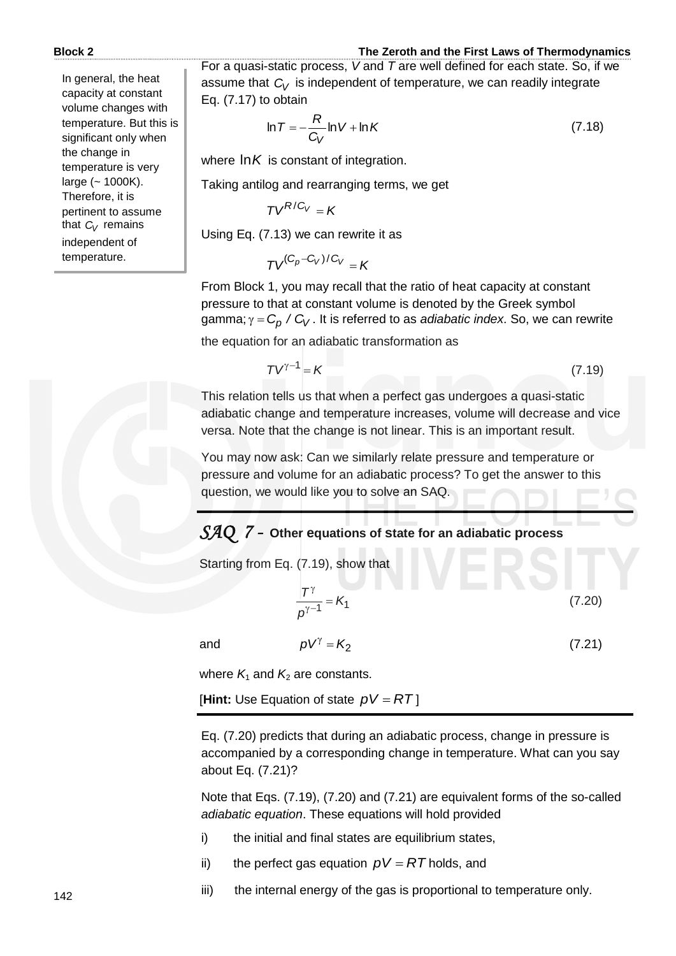In general, the heat capacity at constant volume changes with temperature. But this is significant only when the change in temperature is very large  $(-1000K)$ . Therefore, it is pertinent to assume that *C<sup>V</sup>* remains independent of temperature.

For a quasi-static process, *V* and *T* are well defined for each state. So, if we assume that  $C_V$  is independent of temperature, we can readily integrate Eq. (7.17) to obtain

$$
\ln T = -\frac{R}{C_V} \ln V + \ln K \tag{7.18}
$$

where ln*K* is constant of integration.

Taking antilog and rearranging terms, we get

 $TV^{R/C_V} = K$ 

Using Eq. (7.13) we can rewrite it as

 $TV^{(C_p-C_V)/C_V} = K$ 

From Block 1, you may recall that the ratio of heat capacity at constant pressure to that at constant volume is denoted by the Greek symbol gamma; γ = C<sub>p</sub> / C<sub>V</sub> . It is referred to as *adiabatic index*. So, we can rewrite

the equation for an adiabatic transformation as

$$
TV^{\gamma - 1} = K \tag{7.19}
$$

This relation tells us that when a perfect gas undergoes a quasi-static adiabatic change and temperature increases, volume will decrease and vice versa. Note that the change is not linear. This is an important result.

You may now ask: Can we similarly relate pressure and temperature or pressure and volume for an adiabatic process? To get the answer to this question, we would like you to solve an SAQ.

# *SAQ 7 -* **Other equations of state for an adiabatic process**

Starting from Eq. (7.19), show that

$$
\frac{|T^{\gamma}|}{\rho^{\gamma-1}} = K_1 \tag{7.20}
$$

(7.21)

and  $pV^{\gamma} = K_2$ 

where  $K_1$  and  $K_2$  are constants.

 $\overline{\phantom{a}}$ [**Hint:** Use Equation of state *pV RT* ]

Eq. (7.20) predicts that during an adiabatic process, change in pressure is accompanied by a corresponding change in temperature. What can you say about Eq. (7.21)?

Note that Eqs. (7.19), (7.20) and (7.21) are equivalent forms of the so-called *adiabatic equation*. These equations will hold provided

- i) the initial and final states are equilibrium states,
- ii) the perfect gas equation  $pV = RT$  holds, and
- iii) the internal energy of the gas is proportional to temperature only.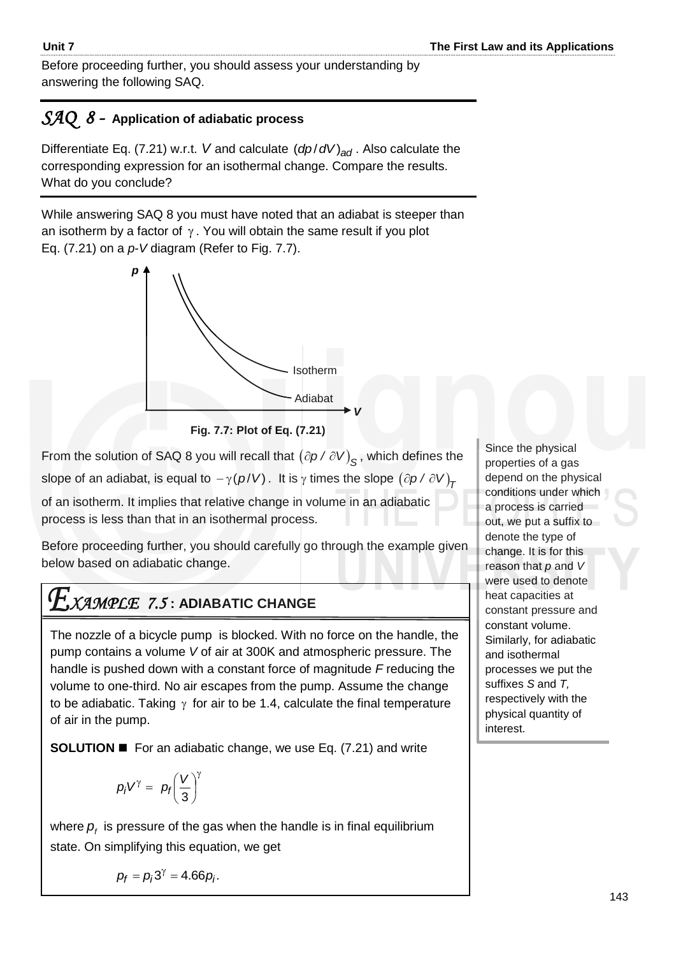Before proceeding further, you should assess your understanding by answering the following SAQ.

# *SAQ 8 -* **Application of adiabatic process**

Differentiate Eq. (7.21) w.r.t. *V* and calculate  $\left({dp}/{dV}\right)_{ad}$ . Also calculate the corresponding expression for an isothermal change. Compare the results. What do you conclude?

While answering SAQ 8 you must have noted that an adiabat is steeper than an isotherm by a factor of  $\gamma$ . You will obtain the same result if you plot Eq. (7.21) on a *p-V* diagram (Refer to Fig. 7.7).





From the solution of SAQ 8 you will recall that  $\left(\partial p \, / \, \partial V \right)_{\mathcal{S}}$ , which defines the slope of an adiabat, is equal to  $-\gamma(\rho/V)$  . It is  $\gamma$  times the slope  $\left(\partial\rho\,/\,\partial\,V\right)_\mathcal{T}$ 

of an isotherm. It implies that relative change in volume in an adiabatic process is less than that in an isothermal process.

Before proceeding further, you should carefully go through the example given below based on adiabatic change.

# *XAMPLE 7.5* **: ADIABATIC CHANGE**

The nozzle of a bicycle pump is blocked. With no force on the handle, the pump contains a volume *V* of air at 300K and atmospheric pressure. The handle is pushed down with a constant force of magnitude *F* reducing the volume to one-third. No air escapes from the pump. Assume the change to be adiabatic. Taking  $\gamma$  for air to be 1.4, calculate the final temperature of air in the pump.

**SOLUTION ■** For an adiabatic change, we use Eq. (7.21) and write

$$
p_i V^\gamma = p_f \bigg(\frac{V}{3}\bigg)^\gamma
$$

where  $p<sub>f</sub>$  is pressure of the gas when the handle is in final equilibrium state. On simplifying this equation, we get

depend on the physical conditions under which a process is carried out, we put a suffix to denote the type of change. It is for this reason that 
$$
p
$$
 and  $V$  were used to denote heat capacities at constant pressure and constant volume. Similarly, for adiabatic and isothermal processes we put the suffixes S and  $T$ , respectively with the physical quantity of interest.

Since the physical properties of a gas

$$
p_f = p_i 3^\gamma = 4.66 p_i.
$$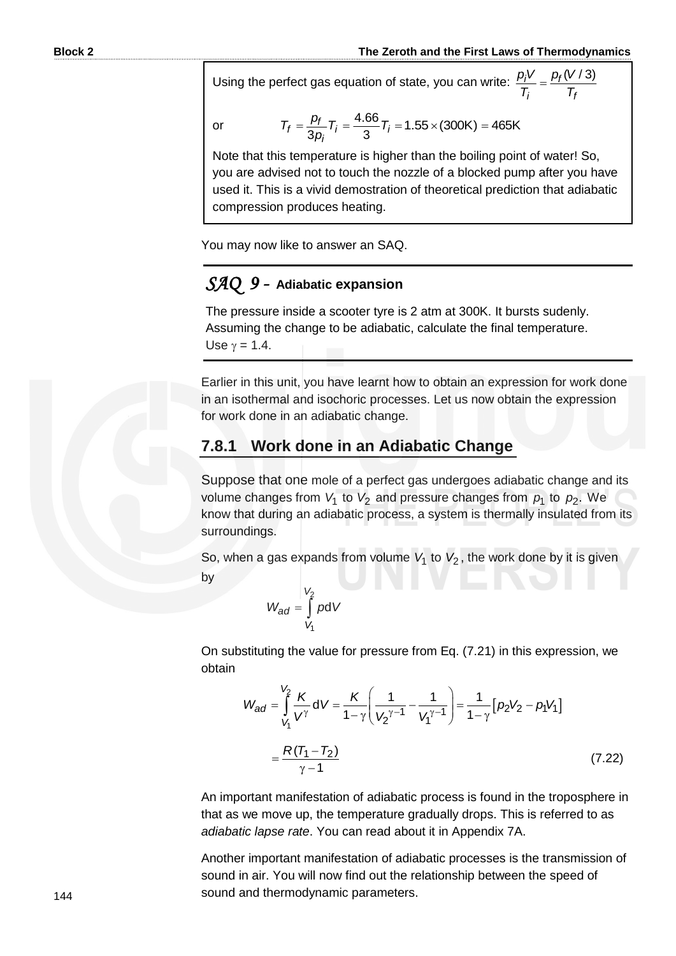Using the perfect gas equation of state, you can write:  $\frac{p_i V}{T} = \frac{p_f (V/3)}{T}$ *i f*  $p_j V p_f$ (V  $T_i$  *T* 

$$
\mathsf{or}\quad
$$

$$
T_f = \frac{p_f}{3p_i} T_i = \frac{4.66}{3} T_i = 1.55 \times (300 \text{K}) = 465 \text{K}
$$

Note that this temperature is higher than the boiling point of water! So, you are advised not to touch the nozzle of a blocked pump after you have used it. This is a vivid demostration of theoretical prediction that adiabatic compression produces heating.

You may now like to answer an SAQ.

# *SAQ 9 -* **Adiabatic expansion**

Assuming the change to be adiabatic, calculate the final temperature. The pressure inside a scooter tyre is 2 atm at 300K. It bursts sudenly. Use  $\gamma = 1.4$ .

Earlier in this unit, you have learnt how to obtain an expression for work done in an isothermal and isochoric processes. Let us now obtain the expression for work done in an adiabatic change.

# **7.8.1 Work done in an Adiabatic Change**

Suppose that one mole of a perfect gas undergoes adiabatic change and its volume changes from  $V_1$  to  $V_2$  and pressure changes from  $p_1$  to  $p_2$ . We know that during an adiabatic process, a system is thermally insulated from its surroundings.

So, when a gas expands from volume  $V_1$  to  $V_2$ , the work done by it is given by

$$
W_{ad} = \int\limits_{V_1}^{V_2} p \, \mathrm{d} \, V
$$

On substituting the value for pressure from Eq. (7.21) in this expression, we obtain

$$
W_{ad} = \int_{V_1}^{V_2} \frac{K}{V^{\gamma}} dV = \frac{K}{1 - \gamma} \left( \frac{1}{V_2^{\gamma - 1}} - \frac{1}{V_1^{\gamma - 1}} \right) = \frac{1}{1 - \gamma} \left[ p_2 V_2 - p_1 V_1 \right]
$$

$$
= \frac{R(T_1 - T_2)}{\gamma - 1}
$$
(7.22)

An important manifestation of adiabatic process is found in the troposphere in that as we move up, the temperature gradually drops. This is referred to as *adiabatic lapse rate*. You can read about it in Appendix 7A.

Another important manifestation of adiabatic processes is the transmission of sound in air. You will now find out the relationship between the speed of sound and thermodynamic parameters.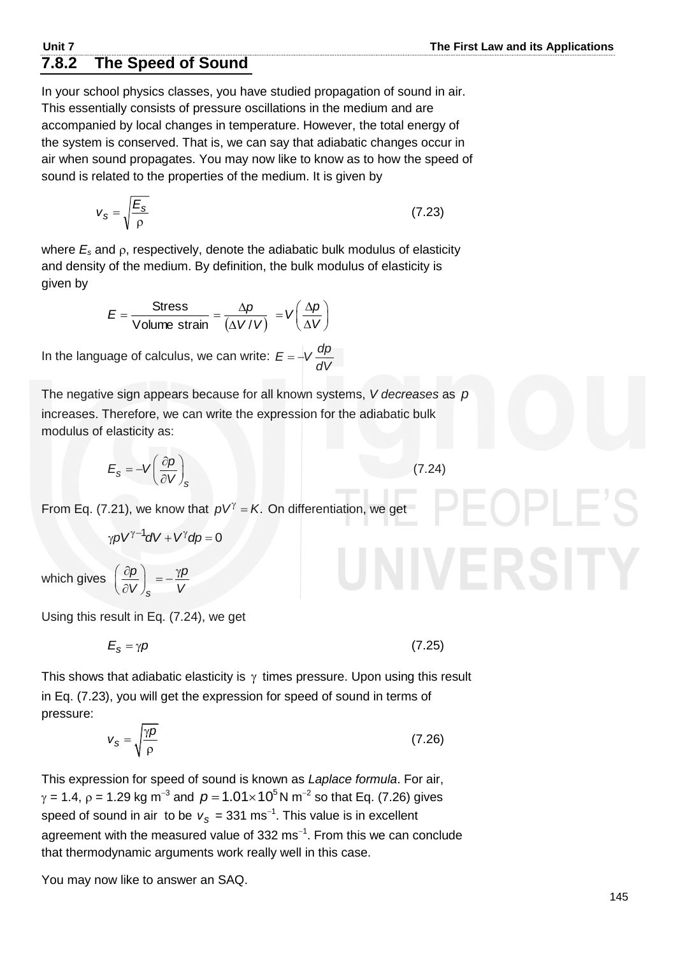# **7.8.2 The Speed of Sound**

In your school physics classes, you have studied propagation of sound in air. This essentially consists of pressure oscillations in the medium and are accompanied by local changes in temperature. However, the total energy of the system is conserved. That is, we can say that adiabatic changes occur in air when sound propagates. You may now like to know as to how the speed of sound is related to the properties of the medium. It is given by

$$
v_s = \sqrt{\frac{E_s}{\rho}}\tag{7.23}
$$

where  $E_s$  and  $\rho$ , respectively, denote the adiabatic bulk modulus of elasticity and density of the medium. By definition, the bulk modulus of elasticity is given by

$$
E = \frac{\text{Stress}}{\text{Volume strain}} = \frac{\Delta p}{(\Delta V/V)} = V\left(\frac{\Delta p}{\Delta V}\right)
$$

In the language of calculus, we can write:  $E = -V \frac{dp}{dt}$ *dV*  $= -1$ 

The negative sign appears because for all known systems, *V decreases* as *p* increases. Therefore, we can write the expression for the adiabatic bulk modulus of elasticity as:

$$
E_s = -V \left(\frac{\partial \rho}{\partial V}\right)_s \tag{7.24}
$$

From Eq. (7.21), we know that  $pV^{\gamma} = K$ . On differentiation, we get

$$
\gamma pV^{\gamma-1}dV + V^{\gamma}dp = 0
$$

which gives *s p γp*  $V \int_S$  *V*  $\left(\frac{\partial \rho}{\partial V}\right)_{S} = -\frac{\gamma \rho}{V}$ 

Using this result in Eq. (7.24), we get

$$
E_{\rm S} = \gamma \rho \tag{7.25}
$$

This shows that adiabatic elasticity is  $\gamma$  times pressure. Upon using this result in Eq. (7.23), you will get the expression for speed of sound in terms of pressure:

$$
V_{\rm S} = \sqrt{\frac{\gamma \rho}{\rho}}
$$
 (7.26)

This expression for speed of sound is known as *Laplace formula*. For air,  $γ = 1.4$ ,  $ρ = 1.29$  kg m<sup>-3</sup> and  $p = 1.01 × 10<sup>5</sup>$ N m<sup>-2</sup> so that Eq. (7.26) gives speed of sound in air to be  $v_s = 331 \text{ ms}^{-1}$ . This value is in excellent agreement with the measured value of 332 ms $^{-1}$ . From this we can conclude that thermodynamic arguments work really well in this case.

You may now like to answer an SAQ.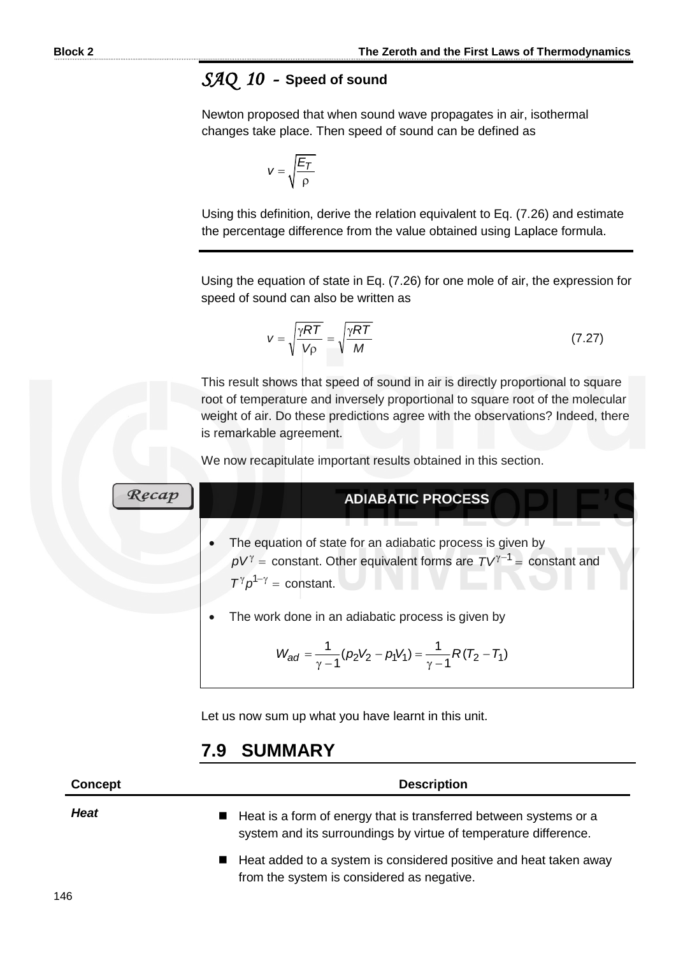# *SAQ 10 -* **Speed of sound**

Newton proposed that when sound wave propagates in air, isothermal changes take place. Then speed of sound can be defined as

$$
v = \sqrt{\frac{E_T}{\rho}}
$$

Using this definition, derive the relation equivalent to Eq. (7.26) and estimate the percentage difference from the value obtained using Laplace formula.

Using the equation of state in Eq. (7.26) for one mole of air, the expression for speed of sound can also be written as

$$
V = \sqrt{\frac{\gamma RT}{V\rho}} = \sqrt{\frac{\gamma RT}{M}}
$$
 (7.27)

This result shows that speed of sound in air is directly proportional to square root of temperature and inversely proportional to square root of the molecular weight of air. Do these predictions agree with the observations? Indeed, there is remarkable agreement.

We now recapitulate important results obtained in this section.

# **ADIABATIC PROCESS**

- The equation of state for an adiabatic process is given by  $pV^{\gamma}$  = constant. Other equivalent forms are  $TV^{\gamma-1}$  = constant and  $T^{\gamma} \rho^{1-\gamma} = \text{constant}.$
- The work done in an adiabatic process is given by

$$
W_{ad} = \frac{1}{\gamma - 1} (p_2 V_2 - p_1 V_1) = \frac{1}{\gamma - 1} R (T_2 - T_1)
$$

Let us now sum up what you have learnt in this unit.

# **7.9 SUMMARY**

**Concept Description** *Heat* Heat is a form of energy that is transferred between systems or a system and its surroundings by virtue of temperature difference. ■ Heat added to a system is considered positive and heat taken away from the system is considered as negative.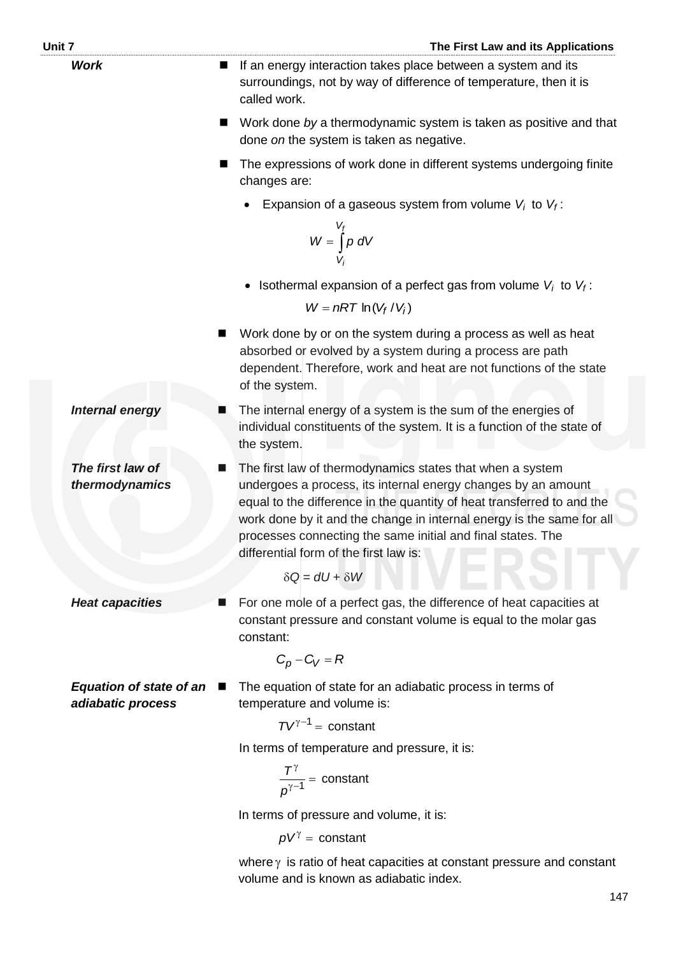| Unit 7      |                                                          | The First Law and its Applications                                                                                                                                                                                                                                                                                                                                                     |
|-------------|----------------------------------------------------------|----------------------------------------------------------------------------------------------------------------------------------------------------------------------------------------------------------------------------------------------------------------------------------------------------------------------------------------------------------------------------------------|
| <b>Work</b> |                                                          | If an energy interaction takes place between a system and its<br>surroundings, not by way of difference of temperature, then it is<br>called work.                                                                                                                                                                                                                                     |
|             | ■                                                        | Work done by a thermodynamic system is taken as positive and that<br>done on the system is taken as negative.                                                                                                                                                                                                                                                                          |
|             | ■                                                        | The expressions of work done in different systems undergoing finite<br>changes are:                                                                                                                                                                                                                                                                                                    |
|             |                                                          | Expansion of a gaseous system from volume $V_i$ to $V_f$ :                                                                                                                                                                                                                                                                                                                             |
|             |                                                          | $W = \int_{V_i}^{V_f} p \ dV$                                                                                                                                                                                                                                                                                                                                                          |
|             |                                                          | Isothermal expansion of a perfect gas from volume $V_i$ to $V_f$ :                                                                                                                                                                                                                                                                                                                     |
|             |                                                          | $W = nRT \ln(V_f/V_i)$                                                                                                                                                                                                                                                                                                                                                                 |
|             | ▀                                                        | Work done by or on the system during a process as well as heat<br>absorbed or evolved by a system during a process are path<br>dependent. Therefore, work and heat are not functions of the state<br>of the system.                                                                                                                                                                    |
|             | <b>Internal energy</b>                                   | The internal energy of a system is the sum of the energies of<br>individual constituents of the system. It is a function of the state of<br>the system.                                                                                                                                                                                                                                |
|             | The first law of<br>▉<br>thermodynamics                  | The first law of thermodynamics states that when a system<br>undergoes a process, its internal energy changes by an amount<br>equal to the difference in the quantity of heat transferred to and the<br>work done by it and the change in internal energy is the same for all<br>processes connecting the same initial and final states. The<br>differential form of the first law is: |
|             |                                                          | $\delta Q = dU + \delta W$                                                                                                                                                                                                                                                                                                                                                             |
|             | <b>Heat capacities</b>                                   | For one mole of a perfect gas, the difference of heat capacities at<br>constant pressure and constant volume is equal to the molar gas<br>constant:                                                                                                                                                                                                                                    |
|             |                                                          | $C_p - C_V = R$                                                                                                                                                                                                                                                                                                                                                                        |
|             | <b>Equation of state of an</b><br>п<br>adiabatic process | The equation of state for an adiabatic process in terms of<br>temperature and volume is:                                                                                                                                                                                                                                                                                               |
|             |                                                          | $TV^{\gamma-1}$ = constant                                                                                                                                                                                                                                                                                                                                                             |
|             |                                                          | In terms of temperature and pressure, it is:                                                                                                                                                                                                                                                                                                                                           |
|             |                                                          | $\frac{T^{\gamma}}{n^{\gamma-1}}$ = constant                                                                                                                                                                                                                                                                                                                                           |
|             |                                                          | In terms of pressure and volume, it is:                                                                                                                                                                                                                                                                                                                                                |
|             |                                                          | $pV^{\gamma}$ = constant                                                                                                                                                                                                                                                                                                                                                               |
|             |                                                          | where $\gamma$ is ratio of heat capacities at constant pressure and constant<br>volume and is known as adiabatic index.                                                                                                                                                                                                                                                                |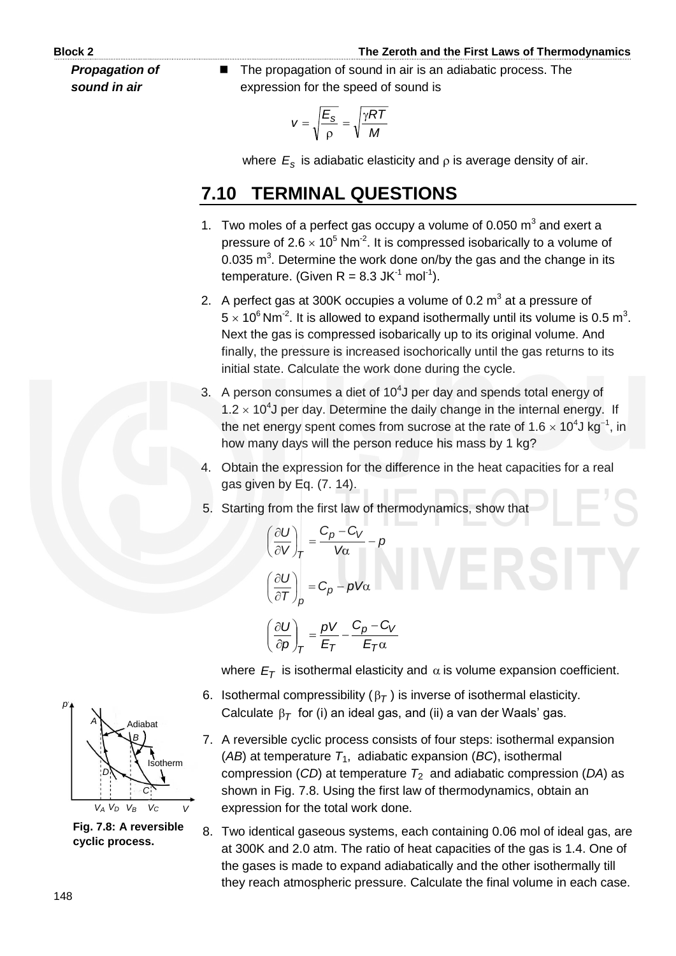*Propagation of sound in air*

 The propagation of sound in air is an adiabatic process. The expression for the speed of sound is

$$
v = \sqrt{\frac{E_s}{\rho}} = \sqrt{\frac{\gamma RT}{M}}
$$

where  $\,E_{\rm s}\,$  is adiabatic elasticity and  $\,$  is average density of air.

# **7.10 TERMINAL QUESTIONS**

- 1. Two moles of a perfect gas occupy a volume of 0.050  $m<sup>3</sup>$  and exert a pressure of  $2.6 \times 10^5$  Nm<sup>-2</sup>. It is compressed isobarically to a volume of 0.035  $\text{m}^3$ . Determine the work done on/by the gas and the change in its temperature. (Given  $R = 8.3$  JK<sup>-1</sup> mol<sup>-1</sup>).
- 2. A perfect gas at 300K occupies a volume of 0.2  $m^3$  at a pressure of  $5 \times 10^6$  Nm<sup>-2</sup>. It is allowed to expand isothermally until its volume is 0.5 m<sup>3</sup>. Next the gas is compressed isobarically up to its original volume. And finally, the pressure is increased isochorically until the gas returns to its initial state. Calculate the work done during the cycle.
- 3. A person consumes a diet of  $10<sup>4</sup>$ J per day and spends total energy of 1.2  $\times$  10<sup>4</sup>J per day. Determine the daily change in the internal energy. If the net energy spent comes from sucrose at the rate of 1.6  $\times$  10<sup>4</sup>J kg<sup>-1</sup>, in how many days will the person reduce his mass by 1 kg?
- 4. Obtain the expression for the difference in the heat capacities for a real gas given by Eq. (7. 14).
- 5. Starting from the first law of thermodynamics, show that

$$
\left(\frac{\partial U}{\partial V}\right)_T = \frac{C_p - C_V}{V\alpha} - p
$$

$$
\left(\frac{\partial U}{\partial T}\right)_p = C_p - pV\alpha
$$

$$
\left(\frac{\partial U}{\partial p}\right)_T = \frac{pV}{E_T} - \frac{C_p - C_V}{E_T\alpha}
$$

where  $E_T$  is isothermal elasticity and  $\alpha$  is volume expansion coefficient.

- 6. Isothermal compressibility ( $\beta$ <sub>*T*</sub>) is inverse of isothermal elasticity. Calculate  $\beta_{\mathcal{T}}$  for (i) an ideal gas, and (ii) a van der Waals' gas.
- 7. A reversible cyclic process consists of four steps: isothermal expansion ( $AB$ ) at temperature  $T_1$ , adiabatic expansion ( $BC$ ), isothermal compression (*CD*) at temperature *T*2 and adiabatic compression (*DA*) as shown in Fig. 7.8. Using the first law of thermodynamics, obtain an expression for the total work done.
- 8. Two identical gaseous systems, each containing 0.06 mol of ideal gas, are at 300K and 2.0 atm. The ratio of heat capacities of the gas is 1.4. One of the gases is made to expand adiabatically and the other isothermally till they reach atmospheric pressure. Calculate the final volume in each case.



**Fig. 7.8: A reversible cyclic process.**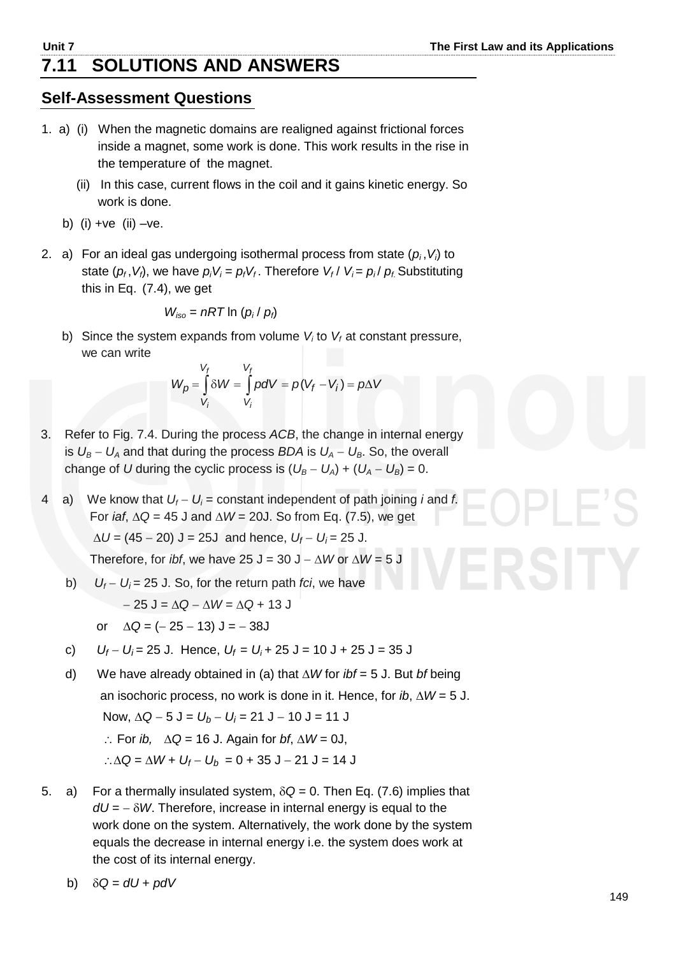# **7.11 SOLUTIONS AND ANSWERS**

# **Self-Assessment Questions**

- 1. a) (i) When the magnetic domains are realigned against frictional forces inside a magnet, some work is done. This work results in the rise in the temperature of the magnet.
	- (ii) In this case, current flows in the coil and it gains kinetic energy. So work is done.
	- b) (i) + $ve$  (ii) - $ve$ .
- 2. a) For an ideal gas undergoing isothermal process from state (*p<sup>i</sup>* ,*Vi*) to state  $(p_f, V_f)$ , we have  $p_i V_i = p_f V_f$ . Therefore  $V_f / V_i = p_i / p_f$  Substituting this in Eq. (7.4), we get

$$
W_{iso} = nRT \ln (p_i / p_i)
$$

b) Since the system expands from volume  $V_i$  to  $V_f$  at constant pressure, we can write

$$
W_p = \int\limits_{V_f}^{V_f} \delta W = \int\limits_{V_i}^{V_f} pdV = p(V_f - V_i) = p\Delta V
$$

- 3. Refer to Fig. 7.4. During the process *ACB*, the change in internal energy is  $U_B - U_A$  and that during the process *BDA* is  $U_A - U_B$ . So, the overall change of *U* during the cyclic process is  $(U_B - U_A) + (U_A - U_B) = 0$ .
- 4 a) We know that  $U_f U_i$  = constant independent of path joining *i* and *f*. For *iaf*,  $\Delta Q = 45$  J and  $\Delta W = 20$ J. So from Eq. (7.5), we get  $\Delta U = (45 - 20)$  J = 25J and hence,  $U_f - U_i = 25$  J. Therefore, for *ibf*, we have 25 J = 30 J  $- \Delta W$  or  $\Delta W = 5$  J
	- b)  $U_f U_i = 25$  J. So, for the return path *fci*, we have
		- $-25$  J =  $\Delta Q \Delta W = \Delta Q + 13$  J
		- or  $\Delta Q = (-25 13) J = -38J$
	- c)  $U_f U_i = 25$  J. Hence,  $U_f = U_i + 25$  J = 10 J + 25 J = 35 J
	- d) We have already obtained in (a) that *W* for *ibf* = 5 J. But *bf* being an isochoric process, no work is done in it. Hence, for *ib*,  $\Delta W = 5$  J. Now,  $\Delta Q - 5 J = U_b - U_i = 21 J - 10 J = 11 J$  $\therefore$  For *ib*,  $\Delta Q = 16$  J. Again for *bf*,  $\Delta W = 0$ J,
		- ∴ $\triangle Q = \triangle W + U_f U_b = 0 + 35$  J 21 J = 14 J
- 5. a) For a thermally insulated system,  $\delta Q = 0$ . Then Eq. (7.6) implies that  $dU = -\delta W$ . Therefore, increase in internal energy is equal to the work done on the system. Alternatively, the work done by the system equals the decrease in internal energy i.e. the system does work at the cost of its internal energy.
	- b)  $\delta Q = dU + pdV$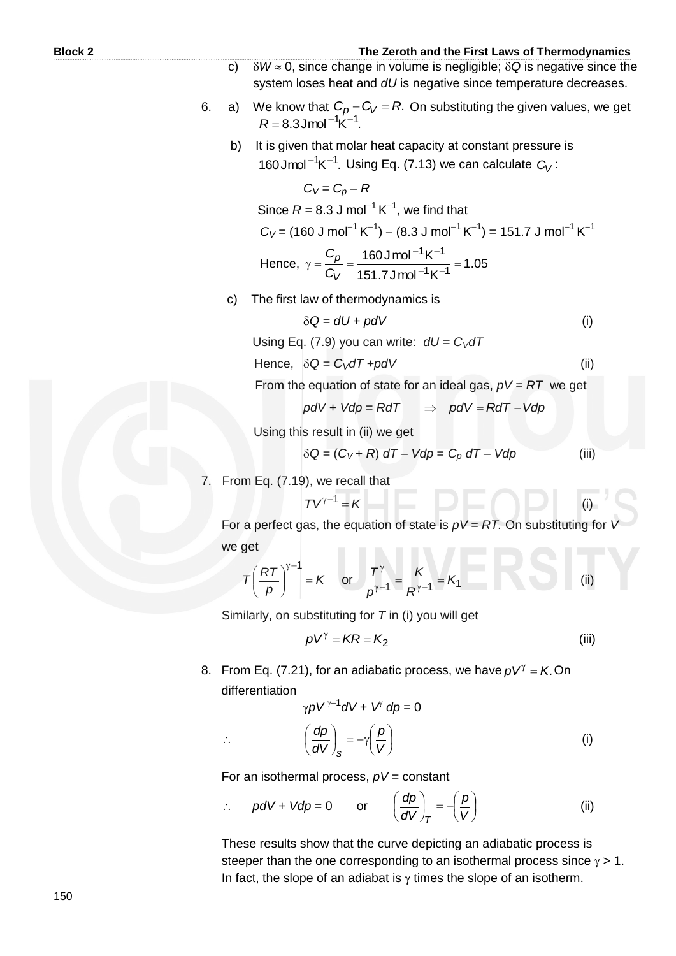- c)  $\delta W \approx 0$ , since change in volume is negligible;  $\delta Q$  is negative since the system loses heat and *dU* is negative since temperature decreases.
- 6. a) We know that  $C_p C_V = R$ . On substituting the given values, we get  $R = 8.3$  Jmol<sup>-1</sup>K<sup>-1</sup>.
	- b) It is given that molar heat capacity at constant pressure is 160 Jmol<sup>-1</sup>K<sup>-1</sup>. Using Eq. (7.13) we can calculate  $C_V$ :

 $C_V = C_p - R$ Since  $R = 8.3$  J mol<sup>-1</sup> K<sup>-1</sup>, we find that  $C_V$  = (160 J mol $^{-1}$  K $^{-1})$   $-$  (8.3 J mol $^{-1}$  K $^{-1})$  = 151.7 J mol $^{-1}$  K $^{-1}$ Hence,  $\gamma = \frac{-p}{\Omega} = \frac{1000 \text{ mJ}}{1 \text{ mJ}} = 1.05$  $151.7$ Jmol<sup>-1</sup>K  $160$  J mol<sup>-1</sup>K  $1\kappa^{-1}$  $1_K - 1$  $\gamma = \frac{-p}{C_V} = \frac{1500 \text{ mJ}}{151.7 \text{ kmol}^{-1} \text{K}^{-1}} =$  $-1<sub>K</sub>$ *V p C C*

c) The first law of thermodynamics is

$$
\delta Q = dU + pdV \tag{i}
$$

Using Eq. (7.9) you can write:  $dU = C_V dT$ 

Hence, 
$$
\delta Q = C_V dT + p dV
$$
 (ii)

From the equation of state for an ideal gas, *pV = RT* we get

$$
pdV + Vdp = RdT \Rightarrow pdV = RdT - Vdp
$$

Using this result in (ii) we get

$$
\delta Q = (C_V + R) dT - Vdp = C_p dT - Vdp \tag{iii}
$$

(i)

From Eq. (7.19), we recall that

$$
TV^{\gamma-1} = K
$$

For a perfect gas, the equation of state is  $pV = RT$ . On substituting for we get

$$
T\left(\frac{RT}{p}\right)^{\gamma-1} = K \quad \text{or} \quad \frac{T^{\gamma}}{p^{\gamma-1}} = \frac{K}{R^{\gamma-1}} = K_1 \tag{ii}
$$

Similarly, on substituting for *T* in (i) you will get

$$
pV^{\gamma} = KR = K_2 \tag{iii}
$$

8. From Eq. (7.21), for an adiabatic process, we have  $pV^{\gamma} = K$ . On differentiation

$$
\gamma p V^{\gamma - 1} dV + V^{\gamma} dp = 0
$$
  

$$
\left(\frac{dp}{dV}\right)_{s} = -\gamma \left(\frac{p}{V}\right)
$$
 (i)

For an isothermal process, *pV =* constant

$$
\therefore \quad pdV + Vdp = 0 \quad \text{or} \quad \left(\frac{dp}{dV}\right)_T = -\left(\frac{p}{V}\right) \tag{ii}
$$

 These results show that the curve depicting an adiabatic process is steeper than the one corresponding to an isothermal process since  $\gamma > 1$ . In fact, the slope of an adiabat is  $\gamma$  times the slope of an isotherm.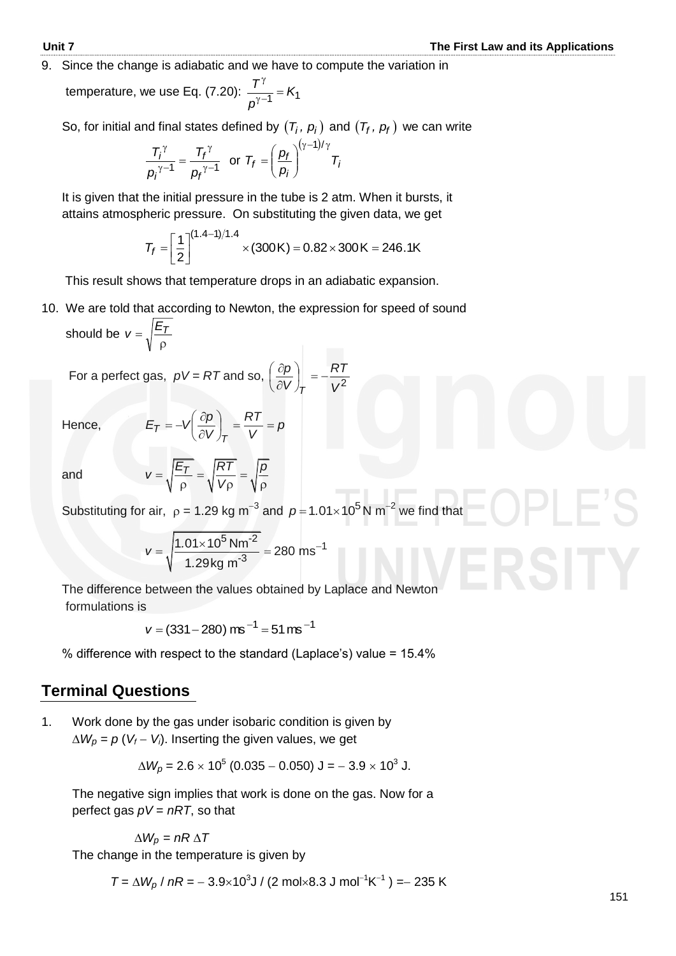9. Since the change is adiabatic and we have to compute the variation in

temperature, we use Eq. (7.20):  $\frac{1}{N^{1-\frac{1}{2}}}$  =  $K_1$  $\frac{T^{\gamma}}{n-1} = K$ *p* γ  $\frac{1}{\gamma-1} =$ 

So, for initial and final states defined by  $(T_i, p_i)$  and  $(T_f, p_f)$  we can write

$$
\frac{T_i^{\gamma}}{p_i^{\gamma-1}} = \frac{T_f^{\gamma}}{p_f^{\gamma-1}} \text{ or } T_f = \left(\frac{p_f}{p_i}\right)^{(\gamma-1)/\gamma} T_i
$$

 It is given that the initial pressure in the tube is 2 atm. When it bursts, it attains atmospheric pressure. On substituting the given data, we get

$$
T_f = \left[\frac{1}{2}\right]^{(1.4-1)/1.4} \times (300\,\text{K}) = 0.82 \times 300\,\text{K} = 246.1\,\text{K}
$$

This result shows that temperature drops in an adiabatic expansion.

10. We are told that according to Newton, the expression for speed of sound should be  $\rho$  $v = \sqrt{\frac{E_T}{E_T}}$ 

For a perfect gas,  $pV = RT$  and so,  $\left(\frac{\partial p}{\partial V}\right)_T = -\frac{RT}{V^2}$ *RT V p T*  $|| = \bigg)$  $\left(\frac{\partial p}{\partial y}\right)$  $\overline{\mathcal{L}}$ ſ  $\widehat{o}$  $\partial$ 

Hence,

*V RT V*  $E_T = -V \frac{\partial p}{\partial y}$ *T*  $T_{\tau} = -V \left( \frac{\partial P}{\partial V} \right)_{T} = \frac{W}{V} =$  $\left(\frac{\partial p}{\partial y}\right)$  $\setminus$ ſ  $\partial$  $=-\sqrt{\frac{\partial}{\partial}}$ 

and

$$
V = \sqrt{\frac{E_T}{\rho}} = \sqrt{\frac{RT}{V\rho}} = \sqrt{\frac{\rho}{\rho}}
$$

Substituting for air,  $\rho = 1.29$  kg m<sup>-3</sup> and  $\rho = 1.01 \times 10^5$  N m<sup>-2</sup> we find that

*p*

$$
v = \sqrt{\frac{1.01 \times 10^5 \text{ Nm}^{-2}}{1.29 \text{ kg m}^{-3}}} = 280 \text{ ms}^{-1}
$$

 The difference between the values obtained by Laplace and Newton formulations is

 $v = (331 - 280)$  ms<sup>-1</sup> = 51 ms<sup>-1</sup>

% difference with respect to the standard (Laplace's) value = 15.4%

## **Terminal Questions**

1. Work done by the gas under isobaric condition is given by  $\Delta W_p = p (V_f - V_i)$ . Inserting the given values, we get

$$
\Delta W_p = 2.6 \times 10^5 (0.035 - 0.050) \text{ J} = -3.9 \times 10^3 \text{ J}.
$$

 The negative sign implies that work is done on the gas. Now for a perfect gas *pV* = *nRT*, so that

 $\Delta W_p = nR \Delta T$ 

The change in the temperature is given by

$$
T = \Delta W_p / nR = -3.9 \times 10^3 \text{J} / (2 \text{ mol} \times 8.3 \text{ J mol}^{-1} \text{K}^{-1}) = -235 \text{ K}
$$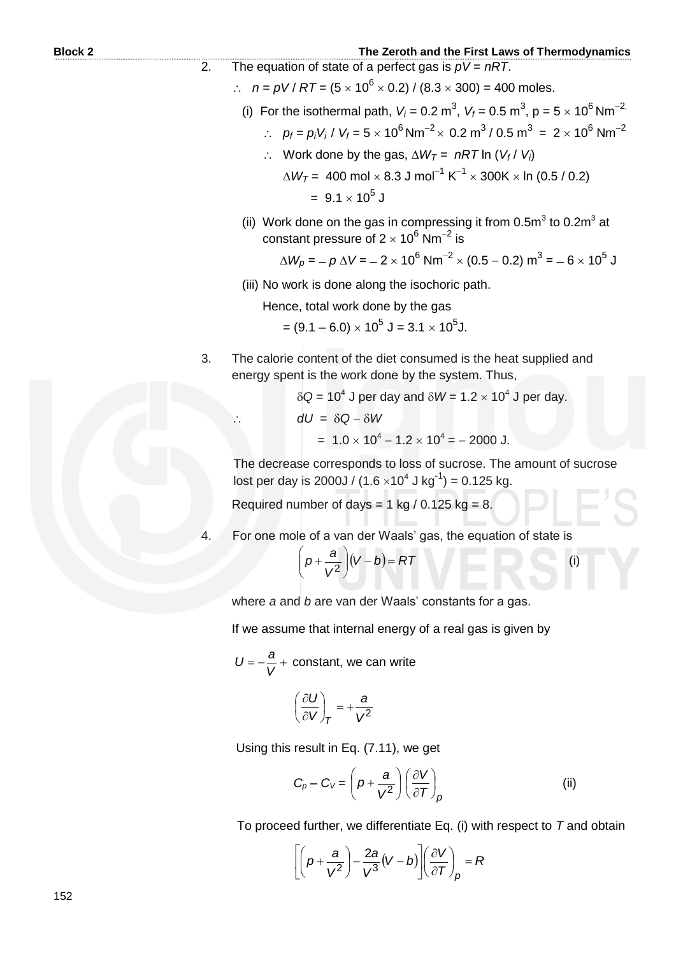- 2. The equation of state of a perfect gas is *pV* = *nRT*.
	- $\therefore$   $n = pV / RT = (5 \times 10^6 \times 0.2) / (8.3 \times 300) = 400$  moles.
- (i) For the isothermal path,  $V_i$  = 0.2 m<sup>3</sup>,  $V_f$  = 0.5 m<sup>3</sup>, p = 5  $\times$  10<sup>6</sup> Nm<sup>-2.</sup>
- ∴  $p_f = p_i V_i / V_f = 5 \times 10^6 Nm^{-2} \times 0.2 m^3 / 0.5 m^3 = 2 \times 10^6 Nm^{-2}$
- $\therefore$  Work done by the gas,  $\Delta W_T$  = nRT ln (*V<sub>f</sub>* / *V<sub>i</sub>*)
- $\Delta W_T$ = 400 mol  $\times$  8.3 J mol $^{-1}$  K $^{-1}$   $\times$  300K  $\times$  In (0.5 / 0.2)  $= 9.1 \times 10^5$  J
- (ii) Work done on the gas in compressing it from 0.5m<sup>3</sup> to 0.2m<sup>3</sup> at constant pressure of 2  $\times$  10<sup>6</sup> Nm<sup>-2</sup> is

$$
\Delta W_p = -p \Delta V = -2 \times 10^6 \text{ Nm}^{-2} \times (0.5 - 0.2) \text{ m}^3 = -6 \times 10^5 \text{ J}
$$

(iii) No work is done along the isochoric path.

Hence, total work done by the gas

 $= (9.1 - 6.0) \times 10^5$  J  $= 3.1 \times 10^5$ J.

3. The calorie content of the diet consumed is the heat supplied and energy spent is the work done by the system. Thus,

 $\delta Q = 10^4$  J per day and  $\delta W = 1.2 \times 10^4$  J per day.

$$
dU = \delta Q - \delta W
$$

 $= 1.0 \times 10^4 - 1.2 \times 10^4 = -2000$  J.

The decrease corresponds to loss of sucrose. The amount of sucrose lost per day is 2000J /  $(1.6 \times 10^4 \text{ J kg}^{-1}) = 0.125 \text{ kg}$ .

Required number of days =  $1 \text{ kg} / 0.125 \text{ kg} = 8$ .

4. For one mole of a van der Waals' gas, the equation of state is

$$
\left(p+\frac{a}{V^2}\right)(V-b)=RT
$$
 (i)

where *a* and *b* are van der Waals' constants for a gas.

If we assume that internal energy of a real gas is given by

$$
U = -\frac{a}{V} + \text{ constant, we can write}
$$

$$
\left(\frac{\partial U}{\partial V}\right)_T = +\frac{a}{V^2}
$$

Using this result in Eq. (7.11), we get

$$
C_p - C_V = \left(p + \frac{a}{V^2}\right) \left(\frac{\partial V}{\partial T}\right)_p
$$
 (ii)

To proceed further, we differentiate Eq. (i) with respect to *T* and obtain

$$
\left[\left(p+\frac{a}{V^2}\right)-\frac{2a}{V^3}(V-b)\right]\left(\frac{\partial V}{\partial T}\right)_p = R
$$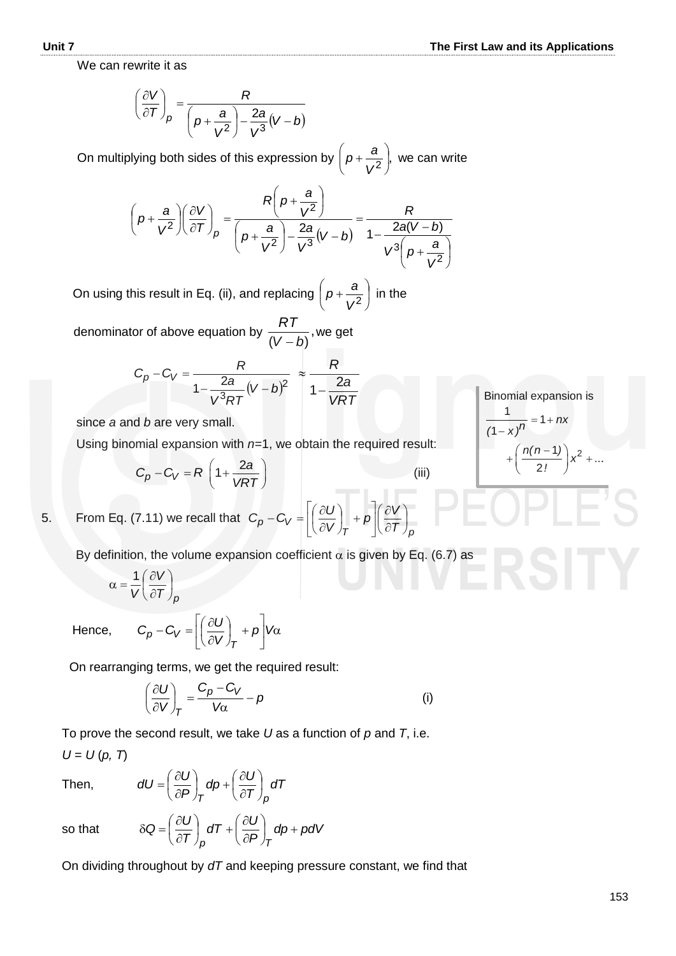We can rewrite it as

$$
\left(\frac{\partial V}{\partial T}\right)_p = \frac{R}{\left(p + \frac{a}{V^2}\right) - \frac{2a}{V^3}(V - b)}
$$

On multiplying both sides of this expression by  $p + \frac{a}{\sqrt{2}}$ ,  $\bigg)$  $\left(p+\frac{a}{a}\right)$  $\overline{\phantom{0}}$  $\int_{\mathcal{P}^+}$ *V*  $p + \frac{a}{a^2}$ , we can write

$$
\left(p+\frac{a}{V^2}\right)\left(\frac{\partial V}{\partial T}\right)_p = \frac{R\left(p+\frac{a}{V^2}\right)}{\left(p+\frac{a}{V^2}\right)-\frac{2a}{V^3}(V-b)} = \frac{R}{1-\frac{2a(V-b)}{V^3\left(p+\frac{a}{V^2}\right)}}
$$

On using this result in Eq. (ii), and replacing  $|p+\frac{a}{2}|$ J  $\left(p+\frac{a}{a}\right)$  $\setminus$  $\left(p+\frac{a}{V^2}\right)$  $p + \frac{a}{a^2}$  in the

denominator of above equation by  $\frac{1}{\sqrt{1-\frac{1}{n}}},$  $(V-b)$ *RT*  $\overline{a}$ we get

$$
C_p - C_V = \frac{R}{1 - \frac{2a}{V^3 RT}(V - b)^2} \approx \frac{R}{1 - \frac{2a}{VRT}}
$$

since *a* and *b* are very small.

Using binomial expansion with *n=*1, we obtain the required result:

$$
C_p - C_V = R \left( 1 + \frac{2a}{VRT} \right)
$$
 (iii)

 $\bigg)$  $\setminus$ 

5. From Eq. (7.11) we recall that 
$$
C_p - C_V = \left[ \left( \frac{\partial U}{\partial V} \right)_T + p \right] \left( \frac{\partial V}{\partial T} \right)_p
$$

By definition, the volume expansion coefficient  $\alpha$  is given by Eq. (6.7) as

$$
\alpha = \frac{1}{V} \left( \frac{\partial V}{\partial T} \right)_p
$$

Hence,

 $|V\alpha$  $\overline{\phantom{a}}$  $\overline{\phantom{a}}$  $\mathbf{r}$ L  $\mathbf{r}$  $| +$ J  $\left(\frac{\partial U}{\partial U}\right)$  $\setminus$ ſ  $\widehat{o}$  $-C_V = \left| \left( \frac{\partial U}{\partial V} \right) + p \right| V$ *V*  $C_p - C_V = \left| \frac{\partial U}{\partial U} \right|$ *T Vp*

On rearranging terms, we get the required result:

$$
\left(\frac{\partial U}{\partial V}\right)_T = \frac{C_p - C_V}{V\alpha} - p \tag{i}
$$

 To prove the second result, we take *U* as a function of *p* and *T*, i.e.  $U = U(p, T)$ 

Then,

$$
dU = \left(\frac{\partial U}{\partial P}\right)_T dp + \left(\frac{\partial U}{\partial T}\right)_P dT
$$

so that

$$
\delta Q = \left(\frac{\partial U}{\partial T}\right)_P dT + \left(\frac{\partial U}{\partial P}\right)_T dp + pdV
$$

On dividing throughout by *dT* and keeping pressure constant, we find that

Binomial expansion is  $1)$ <sub>2</sub>  $\frac{1}{n}$  = 1 1 2  $\frac{1}{(1-x)^n} = 1 + nx$  $\frac{n(n-1)}{2!}$   $x^2 + ...$  $+\left(\frac{n(n-1)}{2!}\right)x^2 + ...$  $= 1 + n$  $\overline{\phantom{0}}$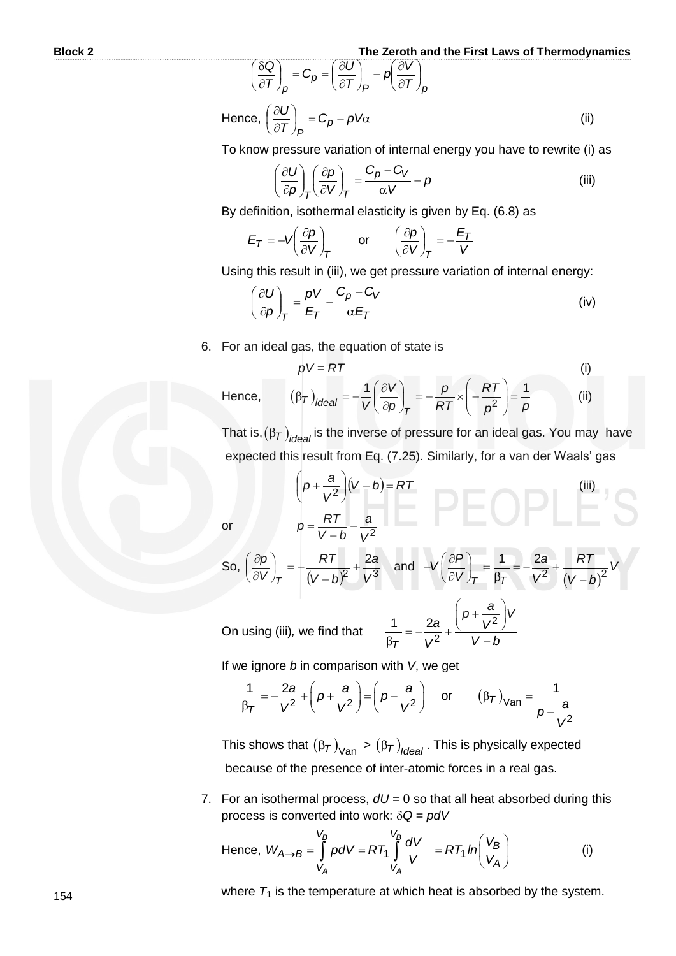$$
\left(\frac{\delta Q}{\partial T}\right)_p = C_p = \left(\frac{\partial U}{\partial T}\right)_p + p\left(\frac{\partial V}{\partial T}\right)_p
$$
  
Hence, 
$$
\left(\frac{\partial U}{\partial T}\right)_p = C_p - pV\alpha
$$
 (ii)

To know pressure variation of internal energy you have to rewrite (i) as

$$
\left(\frac{\partial U}{\partial \rho}\right)_T \left(\frac{\partial \rho}{\partial V}\right)_T = \frac{C_p - C_V}{\alpha V} - \rho
$$
 (iii)

By definition, isothermal elasticity is given by Eq. (6.8) as

$$
E_T = -V \left(\frac{\partial p}{\partial V}\right)_T \quad \text{or} \quad \left(\frac{\partial p}{\partial V}\right)_T = -\frac{E_T}{V}
$$

Using this result in (iii), we get pressure variation of internal energy:

$$
\left(\frac{\partial U}{\partial p}\right)_T = \frac{pV}{E_T} - \frac{C_p - C_V}{\alpha E_T} \tag{iv}
$$

6. For an ideal gas, the equation of state is

$$
pV = RT
$$
\nHence,\n
$$
(\beta_T)_{ideal} = -\frac{1}{V} \left( \frac{\partial V}{\partial p} \right)_T = -\frac{p}{RT} \times \left( -\frac{RT}{p^2} \right) = \frac{1}{p}
$$
\n(ii)

That is, $(\beta_{\mathcal{T}})_{\mathit{ideal}}$  is the inverse of pressure for an ideal gas. You may have expected this result from Eq. (7.25). Similarly, for a van der Waals' gas

or 
$$
\rho = \frac{RT}{V - b} - \frac{a}{V^2}
$$
  
\nSo,  $\left(\frac{\partial \rho}{\partial V}\right)_T = \frac{RT}{(V - b)^2} + \frac{2a}{V^3}$  and  $-V\left(\frac{\partial P}{\partial V}\right)_T = \frac{1}{\beta_T} = -\frac{2a}{V^2} + \frac{RT}{(V - b)^2}V$   
\nOn using (iii), we find that  $\frac{1}{\beta_T} = -\frac{2a}{V^2} + \frac{\left(p + \frac{a}{V^2}\right)V}{V - b}$ 

If we ignore *b* in comparison with *V*, we get

$$
\frac{1}{\beta_T} = -\frac{2a}{V^2} + \left(p + \frac{a}{V^2}\right) = \left(p - \frac{a}{V^2}\right) \quad \text{or} \quad (\beta_T)_{\text{Van}} = \frac{1}{p - \frac{a}{V^2}}
$$

This shows that  $(\beta_{\mathcal{T}})_{\text{Van}} > (\beta_{\mathcal{T}})_{\text{Ideal}}$ . This is physically expected because of the presence of inter-atomic forces in a real gas.

7. For an isothermal process, *dU =* 0 so that all heat absorbed during this process is converted into work:  $\delta Q = pdV$ 

Hence, 
$$
W_{A\rightarrow B} = \int_{V_A}^{V_B} p dV = RT_1 \int_{V_A}^{V_B} \frac{dV}{V} = RT_1 ln \left(\frac{V_B}{V_A}\right)
$$
 (i)

where  $T_1$  is the temperature at which heat is absorbed by the system.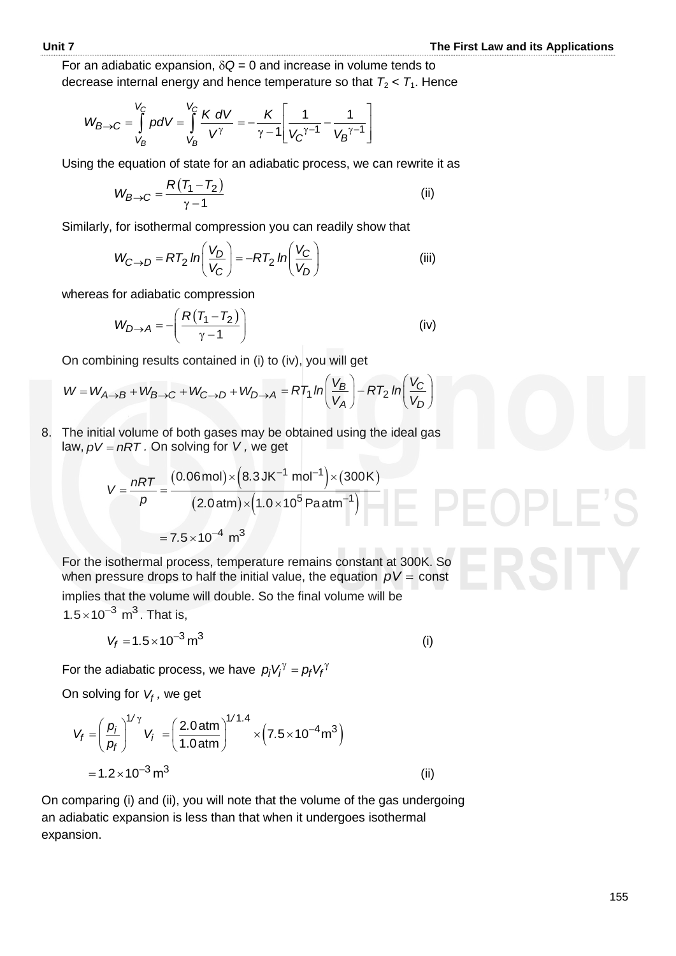For an adiabatic expansion,  $\delta Q = 0$  and increase in volume tends to decrease internal energy and hence temperature so that  $T_2 < T_1$ . Hence

$$
W_{B\to C} = \int_{V_B}^{V_C} p dV = \int_{V_B}^{V_C} \frac{K dV}{V^{\gamma}} = -\frac{K}{\gamma - 1} \left[ \frac{1}{V_C^{\gamma - 1}} - \frac{1}{V_B^{\gamma - 1}} \right]
$$

Using the equation of state for an adiabatic process, we can rewrite it as

$$
W_{B\rightarrow C} = \frac{R(T_1 - T_2)}{\gamma - 1}
$$
 (ii)

Similarly, for isothermal compression you can readily show that

$$
W_{C \to D} = RT_2 \ln\left(\frac{V_D}{V_C}\right) = -RT_2 \ln\left(\frac{V_C}{V_D}\right)
$$
 (iii)

whereas for adiabatic compression

$$
W_{D \to A} = -\left(\frac{R(T_1 - T_2)}{\gamma - 1}\right)
$$
 (iv)

On combining results contained in (i) to (iv), you will get

$$
W = W_{A\rightarrow B} + W_{B\rightarrow C} + W_{C\rightarrow D} + W_{D\rightarrow A} = RT_1 \ln\left(\frac{V_B}{V_A}\right) - RT_2 \ln\left(\frac{V_C}{V_D}\right)
$$

8. The initial volume of both gases may be obtained using the ideal gas

Thus, 
$$
pV = nRT
$$
. On solving for  $V$ , we get

\n
$$
V = \frac{nRT}{p} = \frac{(0.06 \text{ mol}) \times (8.3 \text{ J K}^{-1} \text{ mol}^{-1}) \times (300 \text{ K})}{(2.0 \text{ atm}) \times (1.0 \times 10^5 \text{ Pa atm}^{-1})}
$$
\n
$$
= 7.5 \times 10^{-4} \text{ m}^3
$$

For the isothermal process, temperature remains constant at 300K. So when pressure drops to half the initial value, the equation  $pV = \text{const}$ implies that the volume will double. So the final volume will be  $1.5 \times 10^{-3}$  m<sup>3</sup>. That is,

$$
V_f = 1.5 \times 10^{-3} \,\mathrm{m}^3 \tag{i}
$$

For the adiabatic process, we have  $p_j V_j^\gamma = p_f V_j^\gamma$ 

On solving for *Vf ,* we get

$$
V_f = \left(\frac{p_i}{p_f}\right)^{1/\gamma} V_i = \left(\frac{2.0 \text{ atm}}{1.0 \text{ atm}}\right)^{1/1.4} \times \left(7.5 \times 10^{-4} \text{m}^3\right)
$$
  
= 1.2 × 10<sup>-3</sup> m<sup>3</sup> (ii)

On comparing (i) and (ii), you will note that the volume of the gas undergoing an adiabatic expansion is less than that when it undergoes isothermal expansion.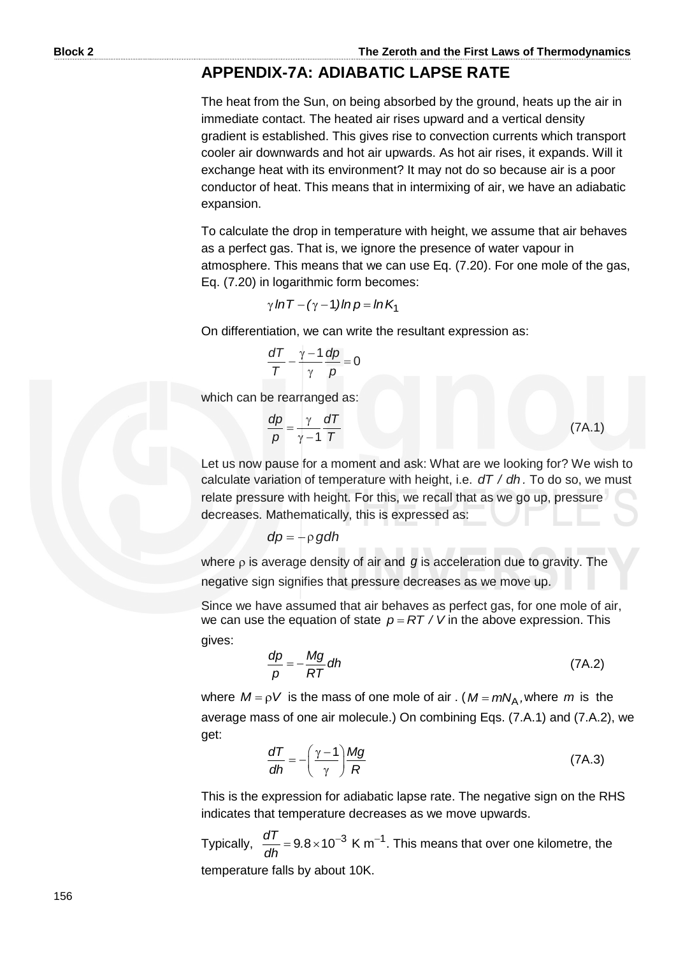# **APPENDIX-7A: ADIABATIC LAPSE RATE**

The heat from the Sun, on being absorbed by the ground, heats up the air in immediate contact. The heated air rises upward and a vertical density gradient is established. This gives rise to convection currents which transport cooler air downwards and hot air upwards. As hot air rises, it expands. Will it exchange heat with its environment? It may not do so because air is a poor conductor of heat. This means that in intermixing of air, we have an adiabatic expansion.

To calculate the drop in temperature with height, we assume that air behaves as a perfect gas. That is, we ignore the presence of water vapour in atmosphere. This means that we can use Eq. (7.20). For one mole of the gas, Eq. (7.20) in logarithmic form becomes:

 $\gamma$  In T – ( $\gamma$  – 1) In p = In K<sub>1</sub>

On differentiation, we can write the resultant expression as:

$$
\frac{dT}{T} - \frac{\gamma - 1}{\gamma} \frac{dp}{p} = 0
$$

which can be rearranged as:

$$
\frac{dp}{p} = \frac{\gamma}{\gamma - 1} \frac{dT}{T}
$$
 (7A.1)

Let us now pause for a moment and ask: What are we looking for? We wish to calculate variation of temperature with height, i.e. *dT / dh .* To do so, we must relate pressure with height. For this, we recall that as we go up, pressure decreases. Mathematically, this is expressed as:

$$
dp = -\rho \, g dh
$$

where  $\rho$  is average density of air and  $g$  is acceleration due to gravity. The negative sign signifies that pressure decreases as we move up.

Since we have assumed that air behaves as perfect gas, for one mole of air, we can use the equation of state  $p = RT / V$  in the above expression. This gives:

$$
\frac{dp}{p} = -\frac{Mg}{RT} dh \tag{7A.2}
$$

where  $M = \rho V$  is the mass of one mole of air . ( $M = mN_A$ , where m is the average mass of one air molecule.) On combining Eqs. (7.A.1) and (7.A.2), we get:

$$
\frac{dT}{dh} = -\left(\frac{\gamma - 1}{\gamma}\right) \frac{Mg}{R}
$$
 (7A.3)

This is the expression for adiabatic lapse rate. The negative sign on the RHS indicates that temperature decreases as we move upwards.

Typically,  $\frac{dT}{dt} = 9.8 \times 10^{-3}$  K m<sup>-1</sup>  $\frac{dT}{dh}$  = 9.8 × 10<sup>-3</sup> K m<sup>-1</sup>. This means that over one kilometre, the temperature falls by about 10K.